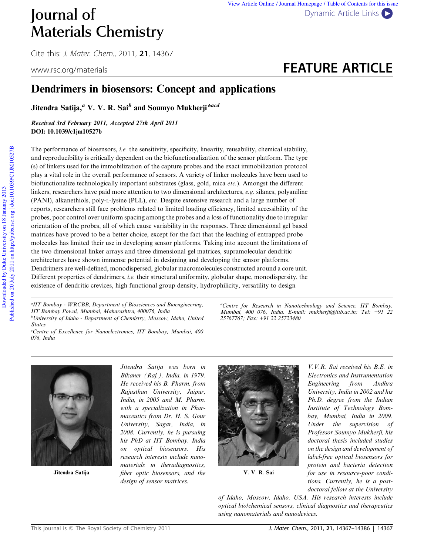# Journal of Dynamic Article Links Materials Chemistry

Cite this: *J. Mater. Chem.*, 2011, 21, 14367

# www.rsc.org/materials **FEATURE ARTICLE**

# Dendrimers in biosensors: Concept and applications

Jitendra Satija,<sup>a</sup> V. V. R. Sai<sup>b</sup> and Soumyo Mukherji<sup>\*acd</sup>

Received 3rd February 2011, Accepted 27th April 2011 DOI: 10.1039/c1jm10527b

The performance of biosensors, *i.e.* the sensitivity, specificity, linearity, reusability, chemical stability, and reproducibility is critically dependent on the biofunctionalization of the sensor platform. The type (s) of linkers used for the immobilization of the capture probes and the exact immobilization protocol play a vital role in the overall performance of sensors. A variety of linker molecules have been used to biofunctionalize technologically important substrates (glass, gold, mica *etc.*). Amongst the different linkers, researchers have paid more attention to two dimensional architectures, *e.g.* silanes, polyaniline (PANI), alkanethiols, poly-L-lysine (PLL), *etc.* Despite extensive research and a large number of reports, researchers still face problems related to limited loading efficiency, limited accessibility of the probes, poor control over uniform spacing among the probes and a loss of functionality due to irregular orientation of the probes, all of which cause variability in the responses. Three dimensional gel based matrices have proved to be a better choice, except for the fact that the leaching of entrapped probe molecules has limited their use in developing sensor platforms. Taking into account the limitations of the two dimensional linker arrays and three dimensional gel matrices, supramolecular dendritic architectures have shown immense potential in designing and developing the sensor platforms. Dendrimers are well-defined, monodispersed, globular macromolecules constructed around a core unit. Different properties of dendrimers, *i.e.* their structural uniformity, globular shape, monodispersity, the existence of dendritic crevices, high functional group density, hydrophilicity, versatility to design

*a IIT Bombay - WRCBB, Department of Biosciences and Bioengineering, IIT Bombay Powai, Mumbai, Maharashtra, 400076, India <sup>b</sup>University of Idaho - Department of Chemistry, Moscow, Idaho, United States*

*<sup>c</sup>Centre of Excellence for Nanoelectronics, IIT Bombay, Mumbai, 400 076, India*

*<sup>d</sup>Centre for Research in Nanotechnology and Science, IIT Bombay, Mumbai, 400 076, India. E-mail: mukherji@iitb.ac.in; Tel: +91 22 25767767; Fax: +91 22 25723480*



Jitendra Satija

*Jitendra Satija was born in Bikaner (Raj.), India, in 1979. He received his B. Pharm. from Rajasthan University, Jaipur, India, in 2005 and M. Pharm. with a specialization in Pharmaceutics from Dr. H. S. Gour University, Sagar, India, in 2008. Currently, he is pursuing his PhD at IIT Bombay, India on optical biosensors. His research interests include nanomaterials in theradiagnostics, fiber optic biosensors, and the design of sensor matrices.*



V: V: R: Sai

*V.V.R. Sai received his B.E. in Electronics and Instrumentation Engineering from Andhra University, India in 2002 and his Ph.D. degree from the Indian Institute of Technology Bombay, Mumbai, India in 2009. Under the supervision of Professor Soumyo Mukherji, his doctoral thesis included studies on the design and development of label-free optical biosensors for protein and bacteria detection for use in resource-poor conditions. Currently, he is a postdoctoral fellow at the University*

*of Idaho, Moscow, Idaho, USA. His research interests include optical bio/chemical sensors, clinical diagnostics and therapeutics using nanomaterials and nanodevices.*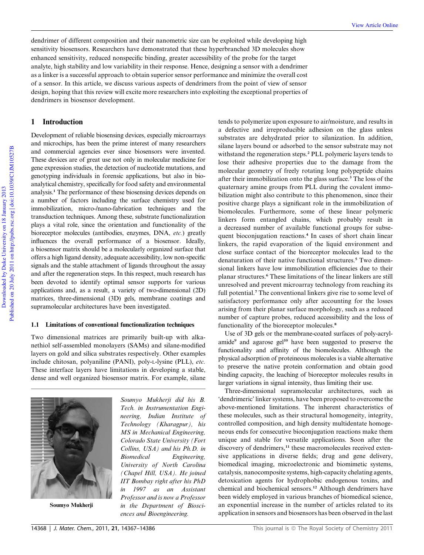dendrimer of different composition and their nanometric size can be exploited while developing high sensitivity biosensors. Researchers have demonstrated that these hyperbranched 3D molecules show enhanced sensitivity, reduced nonspecific binding, greater accessibility of the probe for the target analyte, high stability and low variability in their response. Hence, designing a sensor with a dendrimer as a linker is a successful approach to obtain superior sensor performance and minimize the overall cost of a sensor. In this article, we discuss various aspects of dendrimers from the point of view of sensor design, hoping that this review will excite more researchers into exploiting the exceptional properties of dendrimers in biosensor development.

### 1 Introduction

Development of reliable biosensing devices, especially microarrays and microchips, has been the prime interest of many researchers and commercial agencies ever since biosensors were invented. These devices are of great use not only in molecular medicine for gene expression studies, the detection of nucleotide mutations, and genotyping individuals in forensic applications, but also in bioanalytical chemistry, specifically for food safety and environmental analysis.<sup>1</sup> The performance of these biosensing devices depends on a number of factors including the surface chemistry used for immobilization, micro-/nano-fabrication techniques and the transduction techniques. Among these, substrate functionalization plays a vital role, since the orientation and functionality of the bioreceptor molecules (antibodies, enzymes, DNA, *etc.*) greatly influences the overall performance of a biosensor. Ideally, a biosensor matrix should be a molecularly organized surface that offers a high ligand density, adequate accessibility, low non-specific signals and the stable attachment of ligands throughout the assay and after the regeneration steps. In this respect, much research has been devoted to identify optimal sensor supports for various applications and, as a result, a variety of two-dimensional (2D) matrices, three-dimensional (3D) gels, membrane coatings and supramolecular architectures have been investigated.

#### 1.1 Limitations of conventional functionalization techniques

Two dimensional matrices are primarily built-up with alkanethiol self-assembled monolayers (SAMs) and silane-modified layers on gold and silica substrates respectively. Other examples include chitosan, polyaniline (PANI), poly-L-lysine (PLL), *etc.* These interface layers have limitations in developing a stable, dense and well organized biosensor matrix. For example, silane



Soumyo Mukherji

*Tech. in Instrumentation Engineering, Indian Institute of Technology (Kharagpur), his MS in Mechanical Engineering, Colorado State University (Fort Collins, USA) and his Ph.D. in Biomedical Engineering, University of North Carolina (Chapel Hill, USA). He joined IIT Bombay right after his PhD in 1997 as an Assistant Professor and is now a Professor in the Department of Biosciences and Bioengineering.*

*Soumyo Mukherji did his B.*

tends to polymerize upon exposure to air/moisture, and results in a defective and irreproducible adhesion on the glass unless substrates are dehydrated prior to silanization. In addition, silane layers bound or adsorbed to the sensor substrate may not withstand the regeneration steps.<sup>2</sup> PLL polymeric layers tends to lose their adhesive properties due to the damage from the molecular geometry of freely rotating long polypeptide chains after their immobilization onto the glass surface.<sup>3</sup> The loss of the quaternary amine groups from PLL during the covalent immobilization might also contribute to this phenomenon, since their positive charge plays a significant role in the immobilization of biomolecules. Furthermore, some of these linear polymeric linkers form entangled chains, which probably result in a decreased number of available functional groups for subsequent bioconjugation reactions.<sup>4</sup> In cases of short chain linear linkers, the rapid evaporation of the liquid environment and close surface contact of the bioreceptor molecules lead to the denaturation of their native functional structures.<sup>5</sup> Two dimensional linkers have low immobilization efficiencies due to their planar structures.<sup>6</sup> These limitations of the linear linkers are still unresolved and prevent microarray technology from reaching its full potential.<sup>7</sup> The conventional linkers give rise to some level of satisfactory performance only after accounting for the losses arising from their planar surface morphology, such as a reduced number of capture probes, reduced accessibility and the loss of functionality of the bioreceptor molecules.<sup>8</sup>

Use of 3D gels or the membrane-coated surfaces of poly-acrylamide<sup>9</sup> and agarose gel<sup>10</sup> have been suggested to preserve the functionality and affinity of the biomolecules. Although the physical adsorption of proteineous molecules is a viable alternative to preserve the native protein conformation and obtain good binding capacity, the leaching of bioreceptor molecules results in larger variations in signal intensity, thus limiting their use.

Three-dimensional supramolecular architectures, such as 'dendrimeric' linker systems, have been proposed to overcome the above-mentioned limitations. The inherent characteristics of these molecules, such as their structural homogeneity, integrity, controlled composition, and high density multidentate homogeneous ends for consecutive bioconjugation reactions make them unique and stable for versatile applications. Soon after the discovery of dendrimers,<sup>11</sup> these macromolecules received extensive applications in diverse fields; drug and gene delivery, biomedical imaging, microelectronic and biomimetic systems, catalysis, nanocomposite systems, high-capacity chelating agents, detoxication agents for hydrophobic endogenous toxins, and chemical and biochemical sensors.<sup>12</sup> Although dendrimers have been widely employed in various branches of biomedical science, an exponential increase in the number of articles related to its application in sensors and biosensors has been observed in the last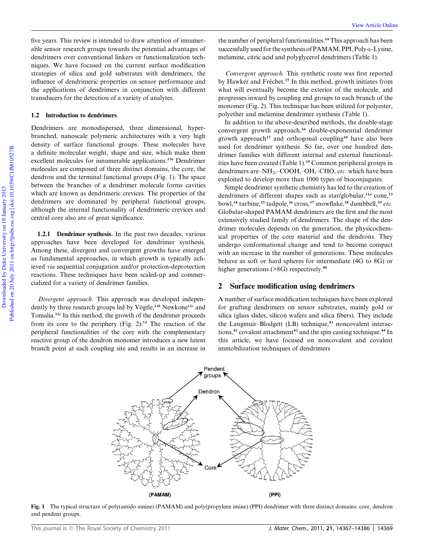five years. This review is intended to draw attention of innumerable sensor research groups towards the potential advantages of dendrimers over conventional linkers or functionalization techniques. We have focused on the current surface modification strategies of silica and gold substrates with dendrimers, the influence of dendrimeric properties on sensor performance and the applications of dendrimers in conjunction with different transducers for the detection of a variety of analytes.

#### 1.2 Introduction to dendrimers

Dendrimers are monodispersed, three dimensional, hyperbranched, nanoscale polymeric architectures with a very high density of surface functional groups. These molecules have a definite molecular weight, shape and size, which make them excellent molecules for innumerable applications.<sup>11a</sup> Dendrimer molecules are composed of three distinct domains, the core, the dendron and the terminal functional groups (Fig. 1). The space between the branches of a dendrimer molecule forms cavities which are known as dendrimeric crevices. The properties of the dendrimers are dominated by peripheral functional groups, although the internal functionality of dendrimeric crevices and central core also are of great significance.

1.2.1 Dendrimer synthesis. In the past two decades, various approaches have been developed for dendrimer synthesis. Among these, divergent and convergent growths have emerged as fundamental approaches, in which growth is typically achieved *via* sequential conjugation and/or protection-deprotection reactions. These techniques have been scaled-up and commercialized for a variety of dendrimer families.

*Divergent approach.* This approach was developed independently by three research groups led by Vögtle,<sup>11b</sup> Newkone<sup>11c</sup> and Tomalia.<sup>11c</sup> In this method, the growth of the dendrimer proceeds from its core to the periphery (Fig.  $2$ ).<sup>13</sup> The reaction of the peripheral functionalities of the core with the complementary reactive group of the dendron monomer introduces a new latent branch point at each coupling site and results in an increase in

the number of peripheral functionalities.<sup>14</sup> This approach has been successfully used for the synthesis of PAMAM, PPI, Poly-L-Lysine, melamine, citric acid and polyglycerol dendrimers (Table 1).

*Convergent approach.* This synthetic route was first reported by Hawker and Fréchet.<sup>15</sup> In this method, growth initiates from what will eventually become the exterior of the molecule, and progresses inward by coupling end groups to each branch of the monomer (Fig. 2). This technique has been utilized for polyester, polyether and melamine dendrimer synthesis (Table 1).

In addition to the above-described methods, the double-stage convergent growth approach,<sup>16</sup> double-exponential dendrimer growth approach<sup>17</sup> and orthogonal coupling<sup>18</sup> have also been used for dendrimer synthesis. So far, over one hundred dendrimer families with different internal and external functionalities have been created (Table 1).<sup>19</sup> Common peripheral groups in dendrimers are–NH<sub>2</sub>,–COOH,–OH,–CHO, *etc.* which have been exploited to develop more than 1000 types of bioconjugates.

Simple dendrimer synthetic chemistry has led to the creation of dendrimers of different shapes such as star/globular,<sup>11a</sup> cone,<sup>33</sup> bowl,<sup>34</sup> turbine,<sup>35</sup> tadpole,<sup>36</sup> cross,<sup>37</sup> snowflake,<sup>38</sup> dumbbell,<sup>39</sup> etc. Globular-shaped PAMAM dendrimers are the first and the most extensively studied family of dendrimers. The shape of the dendrimer molecules depends on the generation, the physicochemical properties of the core material and the dendrons. They undergo conformational change and tend to become compact with an increase in the number of generations. These molecules behave as soft or hard spheres for intermediate (4G to 8G) or higher generations (>8G) respectively.<sup>40</sup>

#### 2 Surface modification using dendrimers

A number of surface modification techniques have been explored for grafting dendrimers on sensor substrates, mainly gold or silica (glass slides, silicon wafers and silica fibers). They include the Langmuir-Blodgett (LB) technique,<sup>41</sup> noncovalent interactions,<sup>42</sup> covalent attachment<sup>43</sup> and the spin casting technique.<sup>44</sup> In this article, we have focused on noncovalent and covalent immobilization techniques of dendrimers



Fig. 1 The typical structure of poly(amido amine) (PAMAM) and poly(propylene imine) (PPI) dendrimer with three distinct domains: core, dendron and pendent groups.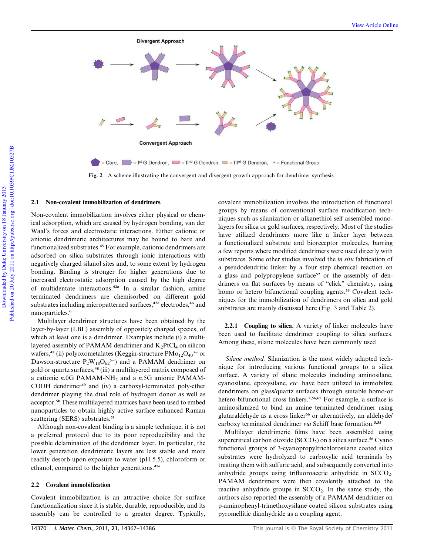

 $\bullet$  = Core,  $\bullet$  = |st G Dendron,  $\bullet$  = |lnd G Dendron,  $\bullet$  = |llnd G Dendron,  $\bullet$  = Functional Group

Fig. 2 A scheme illustrating the convergent and divergent growth approach for dendrimer synthesis.

#### 2.1 Non-covalent immobilization of dendrimers

Non-covalent immobilization involves either physical or chemical adsorption, which are caused by hydrogen bonding, van der Waal's forces and electrostatic interactions. Either cationic or anionic dendrimeric architectures may be bound to bare and functionalized substrates.<sup>45</sup> For example, cationic dendrimers are adsorbed on silica substrates through ionic interactions with negatively charged silanol sites and, to some extent by hydrogen bonding. Binding is stronger for higher generations due to increased electrostatic adsorption caused by the high degree of multidentate interactions.<sup>42a</sup> In a similar fashion, amine terminated dendrimers are chemisorbed on different gold substrates including micropatterned surfaces,<sup>42b</sup> electrodes,<sup>46</sup> and nanoparticles.<sup>6</sup>

Multilayer dendrimer structures have been obtained by the layer-by-layer (LBL) assembly of oppositely charged species, of which at least one is a dendrimer. Examples include (i) a multilayered assembly of PAMAM dendrimer and  $K_2PtCl_4$  on silicon wafers,<sup>47</sup> (ii) polyoxometalates (Keggin-structure  $\text{PMo}_{12}\text{O}_{40}^{\text{3-}}$  or Dawson-structure  $P_2W_{18}O_{62}^{6-}$  and a PAMAM dendrimer on gold or quartz surfaces,<sup>48</sup> (iii) a multilayered matrix composed of a cationic *n*.0G PAMAM-NH<sup>2</sup> and a *n*.5G anionic PAMAM-COOH dendrimer<sup>49</sup> and (iv) a carboxyl-terminated poly-ether dendrimer playing the dual role of hydrogen donor as well as acceptor.<sup>50</sup> These multilayered matrices have been used to embed nanoparticles to obtain highly active surface enhanced Raman scattering (SERS) substrates.<sup>51</sup>

Although non-covalent binding is a simple technique, it is not a preferred protocol due to its poor reproducibility and the possible delamination of the dendrimer layer. In particular, the lower generation dendrimeric layers are less stable and more readily desorb upon exposure to water (pH 5.5), chloroform or ethanol, compared to the higher generations.<sup>45</sup><sup>a</sup>

#### 2.2 Covalent immobilization

Covalent immobilization is an attractive choice for surface functionalization since it is stable, durable, reproducible, and its assembly can be controlled to a greater degree. Typically,

covalent immobilization involves the introduction of functional groups by means of conventional surface modification techniques such as silanization or alkanethiol self assembled monolayers for silica or gold surfaces, respectively. Most of the studies have utilized dendrimers more like a linker layer between a functionalized substrate and bioreceptor molecules, barring a few reports where modified dendrimers were used directly with substrates. Some other studies involved the *in situ* fabrication of a pseudodendritic linker by a four step chemical reaction on a glass and polypropylene surface<sup>52</sup> or the assembly of dendrimers on flat surfaces by means of "click" chemistry, using homo or hetero bifunctional coupling agents.<sup>53</sup> Covalent techniques for the immobilization of dendrimers on silica and gold substrates are mainly discussed here (Fig. 3 and Table 2).

2.2.1 Coupling to silica. A variety of linker molecules have been used to facilitate dendrimer coupling to silica surfaces. Among these, silane molecules have been commonly used

*Silane method.* Silanization is the most widely adapted technique for introducing various functional groups to a silica surface. A variety of silane molecules including aminosilane, cyanosilane, epoxysilane, *etc.* have been utilized to immobilize dendrimers on glass/quartz surfaces through suitable homo-or hetero-bifunctional cross linkers.<sup>2,56,65</sup> For example, a surface is aminosilanized to bind an amine terminated dendrimer using glutaraldehyde as a cross linker<sup>66</sup> or alternatively, an aldehyde/ carboxy terminated dendrimer *via* Schiff base formation.<sup>5,55</sup>

Multilayer dendrimeric films have been assembled using supercritical carbon dioxide (SCCO<sub>2</sub>) on a silica surface.<sup>56</sup> Cyano functional groups of 3-cyanopropyltrichlorosilane coated silica substrates were hydrolyzed to carboxylic acid terminals by treating them with sulfuric acid, and subsequently converted into anhydride groups using trifluoroacetic anhydride in  $SCCO<sub>2</sub>$ . PAMAM dendrimers were then covalently attached to the reactive anhydride groups in  $SCCO<sub>2</sub>$ . In the same study, the authors also reported the assembly of a PAMAM dendrimer on p-aminophenyl-trimethoxysilane coated silicon substrates using pyromellitic dianhydride as a coupling agent.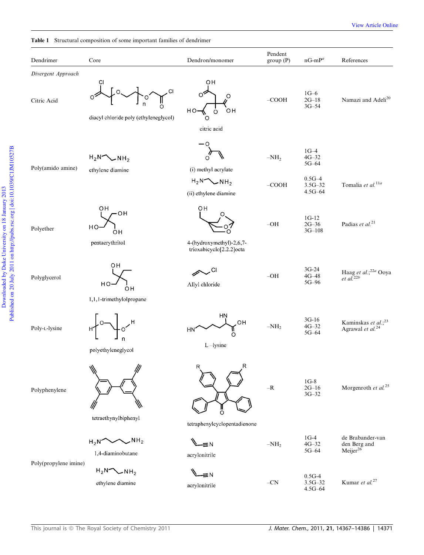| Dendrimer                         | Core                                                   | Dendron/monomer                                            | Pendent<br>group(P) | $nG-mP^a$                                      | References                                                      |
|-----------------------------------|--------------------------------------------------------|------------------------------------------------------------|---------------------|------------------------------------------------|-----------------------------------------------------------------|
| Divergent Approach<br>Citric Acid | СI<br>СI<br>븽<br>diacyl chloride poly (ethyleneglycol) | OН<br>$\circ$<br>HO-<br>OH<br>citric acid                  | $-COOH$             | $1G-6$<br>$2G-18$<br>$3G - 54$                 | Namazi and Adeli <sup>20</sup>                                  |
| Poly(amido amine)                 | $H_2N\diagup N H_2$<br>ethylene diamine                | (i) methyl acrylate<br>$H_2N\diagup NH_2$                  | $-NH_2$             | $1G-4$<br>$4G - 32$<br>$5G - 64$<br>$0.5G - 4$ |                                                                 |
|                                   |                                                        | (ii) ethylene diamine                                      | $-COOH$             | $3.5G - 32$<br>$4.5G - 64$                     | Tomalia et al. <sup>11a</sup>                                   |
| Polyether                         | ΟН<br>OН<br>HO<br>OH<br>pentaerythritol                | ΟH<br>4-(hydroxymethyl)-2,6,7-<br>trioxabicyclo[2.2.2]octa | $-\mathrm{OH}$      | $1G-12$<br>$2G - 36$<br>$3G-108$               | Padias et al. <sup>21</sup>                                     |
| Polyglycerol                      | OH<br>HO<br>ΟН<br>1,1,1-trimethylolpropane             | اCا ِ<br>Allyl chloride                                    | $-OH$               | 3G-24<br>$4G - 48$<br>$5G-96$                  | Haag et al.; $22a$ Ooya et al. $22b$                            |
| Poly-L-lysine                     | H<br>polyethyleneglycol                                | ΗN<br>OH<br>HN<br>O<br>$L$ -lysine                         | $-NH_2$             | $3G-16$<br>$4G - 32$<br>$5G - 64$              | Kaminskas et al.; <sup>23</sup><br>Agrawal et al. <sup>24</sup> |
| Polyphenylene                     | tetraethynylbiphenyl                                   | $\mathsf R$<br>R<br>O<br>tetraphenylcyclopentadienone      | $-{\bf R}$          | $1G-8$<br>$2G-16$<br>$3G - 32$                 | Morgenroth et al. <sup>25</sup>                                 |
|                                   | $\sim$ NH <sub>2</sub><br>$H_2N$<br>1,4-diaminobutane  | $\equiv$ N<br>acrylonitrile                                | $-NH_2$             | $1G-4$<br>$4G - 32$<br>$5G-64$                 | de Brabander-van<br>den Berg and<br>Meijer <sup>26</sup>        |
| Poly(propylene imine)             | $H_2N\sum_{NH_2}$<br>ethylene diamine                  | $\equiv$ N<br>acrylonitrile                                | $-{\rm CN}$         | $0.5G-4$<br>$3.5G - 32$<br>$4.5G - 64$         | Kumar et al. <sup>27</sup>                                      |

# Table 1 Structural composition of some important families of dendrimer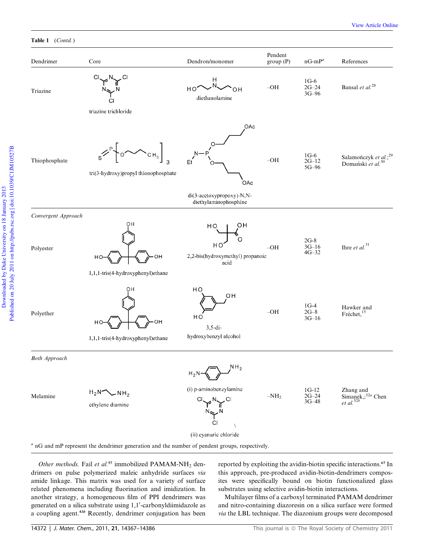



*Other methods.* Fail *et al.*<sup>57</sup> immobilized PAMAM-NH<sub>2</sub> dendrimers on pulse polymerized maleic anhydride surfaces *via* amide linkage. This matrix was used for a variety of surface related phenomena including fluorination and imidization. In another strategy, a homogeneous film of PPI dendrimers was generated on a silica substrate using 1,1'-carbonyldiimidazole as a coupling agent.<sup>43</sup><sup>b</sup> Recently, dendrimer conjugation has been

reported by exploiting the avidin-biotin specific interactions.<sup>67</sup> In this approach, pre-produced avidin-biotin-dendrimers composites were specifically bound on biotin functionalized glass substrates using selective avidin-biotin interactions.

Multilayer films of a carboxyl terminated PAMAM dendrimer and nitro-containing diazoresin on a silica surface were formed *via* the LBL technique. The diazonium groups were decomposed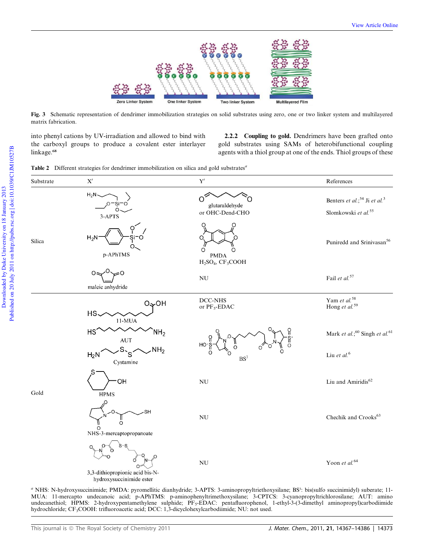

Fig. 3 Schematic representation of dendrimer immobilization strategies on solid substrates using zero, one or two linker system and multilayered matrix fabrication.

into phenyl cations by UV-irradiation and allowed to bind with the carboxyl groups to produce a covalent ester interlayer linkage.<sup>68</sup>

2.2.2 Coupling to gold. Dendrimers have been grafted onto gold substrates using SAMs of heterobifunctional coupling agents with a thiol group at one of the ends. Thiol groups of these





<sup>a</sup> NHS: N-hydroxysuccinimide; PMDA: pyromellitic dianhydride; 3-APTS: 3-aminopropyltriethoxysilane; BS<sup>3</sup>: bis(sulfo succinimidyl) suberate; 11-MUA: 11-mercapto undecanoic acid; p-APhTMS: p-aminophenyltrimethoxysilane; 3-CPTCS: 3-cyanopropyltrichlorosilane; AUT: amino undecanethiol; HPMS: 2-hydroxypentamethylene sulphide; PF<sub>5</sub>-EDAC: pentafluorophenol, 1-ethyl-3-(3-dimethyl aminopropyl)carbodiimide hydrochloride; CF<sub>3</sub>COOH: trifluoroacetic acid; DCC: 1,3-dicyclohexylcarbodiimide; NU: not used.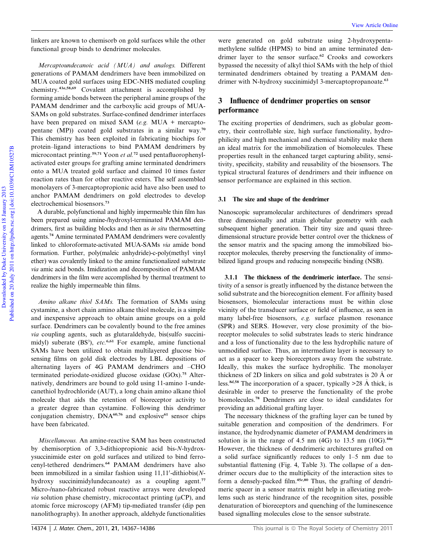linkers are known to chemisorb on gold surfaces while the other functional group binds to dendrimer molecules.

*Mercaptoundecanoic acid (MUA) and analogs.* Different generations of PAMAM dendrimers have been immobilized on MUA coated gold surfaces using EDC-NHS mediated coupling chemistry.<sup>43</sup>a,58,69 Covalent attachment is accomplished by forming amide bonds between the peripheral amine groups of the PAMAM dendrimer and the carboxylic acid groups of MUA-SAMs on gold substrates. Surface-confined dendrimer interfaces have been prepared on mixed SAM (*e.g.* MUA + mercaptopentane (MP)) coated gold substrates in a similar way.<sup>70</sup> This chemistry has been exploited in fabricating biochips for protein–ligand interactions to bind PAMAM dendrimers by microcontact printing.59,71 Yoon *et al.*<sup>72</sup> used pentafluorophenylactivated ester groups for grafting amine terminated dendrimers onto a MUA treated gold surface and claimed 10 times faster reaction rates than for other reactive esters. The self assembled monolayers of 3-mercaptopropionic acid have also been used to anchor PAMAM dendrimers on gold electrodes to develop electrochemical biosensors.<sup>73</sup>

A durable, polyfunctional and highly impermeable thin film has been prepared using amine-/hydroxyl-terminated PAMAM dendrimers, first as building blocks and then as *in situ* thermosetting agents.<sup>74</sup> Amine terminated PAMAM dendrimers were covalently linked to chloroformate-activated MUA-SAMs *via* amide bond formation. Further, poly(maleic anhydride)-c-poly(methyl vinyl ether) was covalently linked to the amine functionalized substrate *via* amic acid bonds. Imidization and decomposition of PAMAM dendrimers in the film were accomplished by thermal treatment to realize the highly impermeable thin films.

*Amino alkane thiol SAMs.* The formation of SAMs using cystamine, a short chain amino alkane thiol molecule, is a simple and inexpensive approach to obtain amine groups on a gold surface. Dendrimers can be covalently bound to the free amines *via* coupling agents, such as glutaraldehyde, bis(sulfo succinimidyl) suberate (BS<sup>3</sup>), *etc.*<sup>6,61</sup> For example, amine functional SAMs have been utilized to obtain multilayered glucose biosensing films on gold disk electrodes by LBL depositions of alternating layers of 4G PAMAM dendrimers and –CHO terminated periodate-oxidized glucose oxidase (GOx).<sup>75</sup> Alternatively, dendrimers are bound to gold using 11-amino 1-undecanethiol hydrochloride (AUT), a long chain amino alkane thiol molecule that aids the retention of bioreceptor activity to a greater degree than cystamine. Following this dendrimer conjugation chemistry, DNA<sup>60,76</sup> and explosive<sup>61</sup> sensor chips have been fabricated.

*Miscellaneous.* An amine-reactive SAM has been constructed by chemisorption of 3,3-dithiopropionic acid bis-*N*-hydroxysuccinimide ester on gold surfaces and utilized to bind ferrocenyl-tethered dendrimers.<sup>64</sup> PAMAM dendrimers have also been immobilized in a similar fashion using 11,11'-dithiobis(Nhydroxy succinimidylundecanoate) as a coupling agent.<sup>77</sup> Micro-/nano-fabricated robust reactive arrays were developed *via* solution phase chemistry, microcontact printing  $(\mu CP)$ , and atomic force microscopy (AFM) tip-mediated transfer (dip pen nanolithography). In another approach, aldehyde functionalities

were generated on gold substrate using 2-hydroxypentamethylene sulfide (HPMS) to bind an amine terminated dendrimer layer to the sensor surface.<sup>62</sup> Crooks and coworkers bypassed the necessity of alkyl thiol SAMs with the help of thiol terminated dendrimers obtained by treating a PAMAM dendrimer with N-hydroxy succinimidyl 3-mercaptopropanoate.<sup>63</sup>

# 3 Influence of dendrimer properties on sensor performance

The exciting properties of dendrimers, such as globular geometry, their controllable size, high surface functionality, hydrophilicity and high mechanical and chemical stability make them an ideal matrix for the immobilization of biomolecules. These properties result in the enhanced target capturing ability, sensitivity, specificity, stability and reusability of the biosensors. The typical structural features of dendrimers and their influence on sensor performance are explained in this section.

#### 3.1 The size and shape of the dendrimer

Nanoscopic supramolecular architectures of dendrimers spread three dimensionally and attain globular geometry with each subsequent higher generation. Their tiny size and quasi threedimensional structure provide better control over the thickness of the sensor matrix and the spacing among the immobilized bioreceptor molecules, thereby preserving the functionality of immobilized ligand groups and reducing nonspecific binding (NSB).

3.1.1 The thickness of the dendrimeric interface. The sensitivity of a sensor is greatly influenced by the distance between the solid substrate and the biorecognition element. For affinity based biosensors, biomolecular interactions must be within close vicinity of the transducer surface or field of influence, as seen in many label-free biosensors, *e.g.* surface plasmon resonance (SPR) and SERS. However, very close proximity of the bioreceptor molecules to solid substrates leads to steric hindrance and a loss of functionality due to the less hydrophilic nature of unmodified surface. Thus, an intermediate layer is necessary to act as a spacer to keep bioreceptors away from the substrate. Ideally, this makes the surface hydrophilic. The monolayer thickness of 2D linkers on silica and gold substrates is 20 A or less.<sup>8d,58</sup> The incorporation of a spacer, typically  $>$ 28 A thick, is desirable in order to preserve the functionality of the probe biomolecules.<sup>78</sup> Dendrimers are close to ideal candidates for providing an additional grafting layer.

The necessary thickness of the grafting layer can be tuned by suitable generation and composition of the dendrimers. For instance, the hydrodynamic diameter of PAMAM dendrimers in solution is in the range of 4.5 nm (4G) to 13.5 nm (10G).<sup>44a</sup> However, the thickness of dendrimeric architectures grafted on a solid surface significantly reduces to only 1–5 nm due to substantial flattening (Fig. 4, Table 3). The collapse of a dendrimer occurs due to the multiplicity of the interaction sites to form a densely-packed film.<sup>45</sup>e,80 Thus, the grafting of dendrimeric spacer in a sensor matrix might help in alleviating problems such as steric hindrance of the recognition sites, possible denaturation of bioreceptors and quenching of the luminescence based signalling molecules close to the sensor substrate.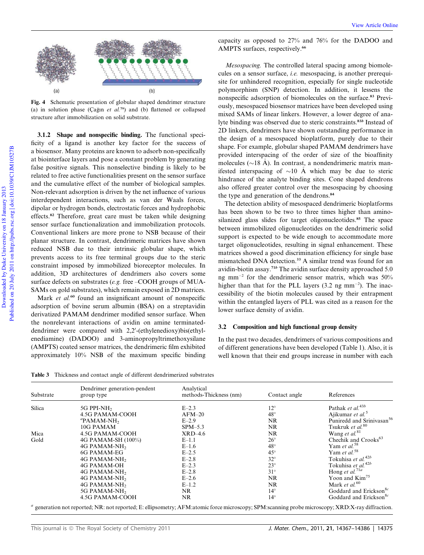Fig. 4 Schematic presentation of globular shaped dendrimer structure (a) in solution phase (Cağın *et al.*<sup>79</sup>) and (b) flattened or collapsed structure after immobilization on solid substrate.

3.1.2 Shape and nonspecific binding. The functional specificity of a ligand is another key factor for the success of a biosensor. Many proteins are known to adsorb non-specifically at biointerface layers and pose a constant problem by generating false positive signals. This nonselective binding is likely to be related to free active functionalities present on the sensor surface and the cumulative effect of the number of biological samples. Non-relevant adsorption is driven by the net influence of various interdependent interactions, such as van der Waals forces, dipolar or hydrogen bonds, electrostatic forces and hydrophobic effects.<sup>82</sup> Therefore, great care must be taken while designing sensor surface functionalization and immobilization protocols. Conventional linkers are more prone to NSB because of their planar structure. In contrast, dendrimeric matrices have shown reduced NSB due to their intrinsic globular shape, which prevents access to its free terminal groups due to the steric constraint imposed by immobilized bioreceptor molecules. In addition, 3D architectures of dendrimers also covers some surface defects on substrates (*e.g.* free –COOH groups of MUA-SAMs on gold substrates), which remain exposed in 2D matrices.

Mark et al.<sup>60</sup> found an insignificant amount of nonspecific adsorption of bovine serum albumin (BSA) on a streptavidin derivatized PAMAM dendrimer modified sensor surface. When the nonrelevant interactions of avidin on amine terminateddendrimer were compared with 2,2'-(ethylenedioxy)bis(ethylenediamine) (DADOO) and 3-aminopropyltrimethoxysilane (AMPTS) coated sensor matrices, the dendrimeric film exhibited approximately 10% NSB of the maximum specific binding capacity as opposed to 27% and 76% for the DADOO and AMPTS surfaces, respectively.<sup>66</sup>

*Mesospacing.* The controlled lateral spacing among biomolecules on a sensor surface, *i.e.* mesospacing, is another prerequisite for unhindered recognition, especially for single nucleotide polymorphism (SNP) detection. In addition, it lessens the nonspecific adsorption of biomolecules on the surface.<sup>83</sup> Previously, mesospaced biosensor matrices have been developed using mixed SAMs of linear linkers. However, a lower degree of analyte binding was observed due to steric constraints.<sup>83b</sup> Instead of 2D linkers, dendrimers have shown outstanding performance in the design of a mesospaced bioplatform, purely due to their shape. For example, globular shaped PAMAM dendrimers have provided interspacing of the order of size of the bioaffinity molecules  $(\sim 18 \text{ Å})$ . In contrast, a nondendrimeric matrix manifested interspacing of  $\sim 10$  A which may be due to steric hindrance of the analyte binding sites. Cone shaped dendrons also offered greater control over the mesospacing by choosing the type and generation of the dendrons.<sup>84</sup>

The detection ability of mesospaced dendrimeric bioplatforms has been shown to be two to three times higher than aminosilanized glass slides for target oligonucleotides.<sup>85</sup> The space between immobilized oligonucleotides on the dendrimeric solid support is expected to be wide enough to accommodate more target oligonucleotides, resulting in signal enhancement. These matrices showed a good discrimination efficiency for single base mismatched DNA detection.<sup>33</sup> A similar trend was found for an avidin-biotin assay.<sup>71</sup><sup>b</sup> The avidin surface density approached 5.0 ng mm<sup>-2</sup> for the dendrimeric sensor matrix, which was 50% higher than that for the PLL layers  $(3.2 \text{ ng mm}^{-2})$ . The inaccessibility of the biotin molecules caused by their entrapment within the entangled layers of PLL was cited as a reason for the lower surface density of avidin.

#### 3.2 Composition and high functional group density

In the past two decades, dendrimers of various compositions and of different generations have been developed (Table 1). Also, it is well known that their end groups increase in number with each

Table 3 Thickness and contact angle of different dendrimerized substrates

| Substrate     | Dendrimer generation-pendent<br>group type | Analytical<br>methods-Thickness (nm) | Contact angle | References                            |
|---------------|--------------------------------------------|--------------------------------------|---------------|---------------------------------------|
| <b>Silica</b> | 5G PPI-NH <sub>2</sub>                     | $E-2.3$                              | $12^{\circ}$  | Pathak et al. <sup>43b</sup>          |
|               | 4.5G PAMAM-COOH                            | $AFM-20$                             | $48^{\circ}$  | Ajikumar et al. <sup>5</sup>          |
|               | ${}^a$ PAMAM-NH <sub>2</sub>               | $E-2.9$                              | NR            | Puniredd and Srinivasan <sup>56</sup> |
|               | 10G PAMAM                                  | $SPM-5.3$                            | <b>NR</b>     | Tsukruk et al. <sup>80</sup>          |
| Mica          | 4.5G PAMAM-COOH                            | $XRD-4.6$                            | <b>NR</b>     | Wang et al. <sup>81</sup>             |
| Gold          | 4G PAMAM-SH (100%)                         | $E-1.1$                              | $26^{\circ}$  | Chechik and Crooks <sup>63</sup>      |
|               | 4G PAMAM-NH <sub>2</sub>                   | $E-1.6$                              | $48^{\circ}$  | Yam et al. $58$                       |
|               | 6G PAMAM-EG                                | $E-2.5$                              | $45^{\circ}$  | Yam et al. $58$                       |
|               | 4G PAMAM-NH <sub>2</sub>                   | $E - 2.8$                            | $32^{\circ}$  | Tokuhisa et al. <sup>42b</sup>        |
|               | <b>4G PAMAM-OH</b>                         | $E-2.3$                              | $23^{\circ}$  | Tokuhisa et al. <sup>42b</sup>        |
|               | 4G PAMAM-NH <sub>2</sub>                   | $E - 2.8$                            | $31^\circ$    | Hong et al. <sup>71a</sup>            |
|               | 4G PAMAM-NH <sub>2</sub>                   | $E-2.6$                              | <b>NR</b>     | Yoon and $Kim75$                      |
|               | 4G PAMAM-NH <sub>2</sub>                   | $E-1.2$                              | NR            | Mark et al. $60$                      |
|               | 5G PAMAM-NH <sub>2</sub>                   | NR.                                  | $14^{\circ}$  | Goddard and Erickson <sup>8c</sup>    |
|               | 4.5G PAMAM-COOH                            | NR                                   | $14^{\circ}$  | Goddard and Erickson <sup>8c</sup>    |
|               |                                            |                                      |               |                                       |

*a* generation not reported; NR: not reported; E: ellipsometry; AFM:atomic force microscopy; SPM:scanning probe microscopy; XRD:X-ray diffraction.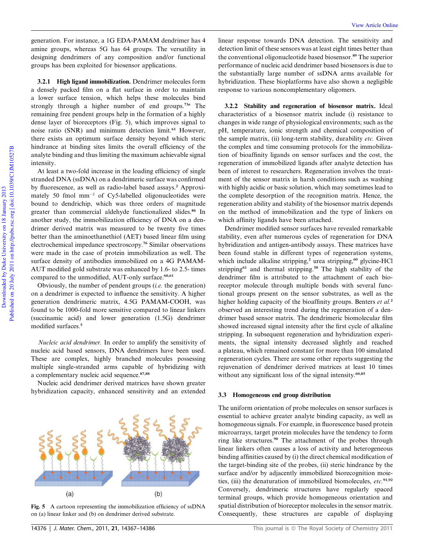generation. For instance, a 1G EDA-PAMAM dendrimer has 4 amine groups, whereas 5G has 64 groups. The versatility in designing dendrimers of any composition and/or functional groups has been exploited for biosensor applications.

3.2.1 High ligand immobilization. Dendrimer molecules form a densely packed film on a flat surface in order to maintain a lower surface tension, which helps these molecules bind strongly through a higher number of end groups.<sup>73a</sup> The remaining free pendent groups help in the formation of a highly dense layer of bioreceptors (Fig. 5), which improves signal to noise ratio (SNR) and minimum detection limit.<sup>61</sup> However, there exists an optimum surface density beyond which steric hindrance at binding sites limits the overall efficiency of the analyte binding and thus limiting the maximum achievable signal intensity.

At least a two-fold increase in the loading efficiency of single stranded DNA (ssDNA) on a dendrimeric surface was confirmed by fluorescence, as well as radio-label based assays.<sup>2</sup> Approximately 50 fmol  $mm^{-2}$  of Cy5-labelled oligonucleotides were bound to dendrichip, which was three orders of magnitude greater than commercial aldehyde functionalized slides.<sup>86</sup> In another study, the immobilization efficiency of DNA on a dendrimer derived matrix was measured to be twenty five times better than the aminoethanethiol (AET) based linear film using electrochemical impedance spectroscopy.<sup>76</sup> Similar observations were made in the case of protein immobilization as well. The surface density of antibodies immobilized on a 4G PAMAM-AUT modified gold substrate was enhanced by 1.6- to 2.5- times compared to the unmodified, AUT-only surface.<sup>60,61</sup>

Obviously, the number of pendent groups (*i.e.* the generation) on a dendrimer is expected to influence the sensitivity. A higher generation dendrimeric matrix, 4.5G PAMAM-COOH, was found to be 1000-fold more sensitive compared to linear linkers (succinamic acid) and lower generation (1.5G) dendrimer modified surfaces.<sup>5</sup>

*Nucleic acid dendrimer.* In order to amplify the sensitivity of nucleic acid based sensors, DNA dendrimers have been used. These are complex, highly branched molecules possessing multiple single-stranded arms capable of hybridizing with a complementary nucleic acid sequence.<sup>87,88</sup>

Nucleic acid dendrimer derived matrices have shown greater hybridization capacity, enhanced sensitivity and an extended



Fig. 5 A cartoon representing the immobilization efficiency of ssDNA on (a) linear linker and (b) on dendrimer derived substrate.

linear response towards DNA detection. The sensitivity and detection limit of these sensors was at least eight times better than the conventional oligonucleotide based biosensor.<sup>89</sup> The superior performance of nucleic acid dendrimer based biosensors is due to the substantially large number of ssDNA arms available for hybridization. These bioplatforms have also shown a negligible response to various noncomplementary oligomers.

3.2.2 Stability and regeneration of biosensor matrix. Ideal characteristics of a biosensor matrix include (i) resistance to changes in wide range of physiological environments; such as the pH, temperature, ionic strength and chemical composition of the sample matrix, (ii) long-term stability, durability *etc.* Given the complex and time consuming protocols for the immobilization of bioaffinity ligands on sensor surfaces and the cost, the regeneration of immobilized ligands after analyte detection has been of interest to researchers. Regeneration involves the treatment of the sensor matrix in harsh conditions such as washing with highly acidic or basic solution, which may sometimes lead to the complete desorption of the recognition matrix. Hence, the regeneration ability and stability of the biosensor matrix depends on the method of immobilization and the type of linkers on which affinity ligands have been attached.

Dendrimer modified sensor surfaces have revealed remarkable stability, even after numerous cycles of regeneration for DNA hybridization and antigen-antibody assays. These matrices have been found stable in different types of regeneration systems, which include alkaline stripping,<sup>2</sup> urea stripping,<sup>60</sup> glycine-HCl stripping<sup>61</sup> and thermal stripping.<sup>58</sup> The high stability of the dendrimer film is attributed to the attachment of each bioreceptor molecule through multiple bonds with several functional groups present on the sensor substrates, as well as the higher holding capacity of the bioaffinity groups. Benters *et al.*<sup>2</sup> observed an interesting trend during the regeneration of a dendrimer based sensor matrix. The dendrimeric biomolecular film showed increased signal intensity after the first cycle of alkaline stripping. In subsequent regeneration and hybridization experiments, the signal intensity decreased slightly and reached a plateau, which remained constant for more than 100 simulated regeneration cycles. There are some other reports suggesting the rejuvenation of dendrimer derived matrices at least 10 times without any significant loss of the signal intensity.<sup>60,85</sup>

#### 3.3 Homogeneous end group distribution

The uniform orientation of probe molecules on sensor surfaces is essential to achieve greater analyte binding capacity, as well as homogeneous signals. For example, in fluorescence based protein microarrays, target protein molecules have the tendency to form ring like structures.<sup>90</sup> The attachment of the probes through linear linkers often causes a loss of activity and heterogeneous binding affinities caused by (i) the direct chemical modification of the target-binding site of the probes, (ii) steric hindrance by the surface and/or by adjacently immobilized biorecognition moieties, (iii) the denaturation of immobilized biomolecules, *etc.*91,92 Conversely, dendrimeric structures have regularly spaced terminal groups, which provide homogeneous orientation and spatial distribution of bioreceptor molecules in the sensor matrix. Consequently, these structures are capable of displaying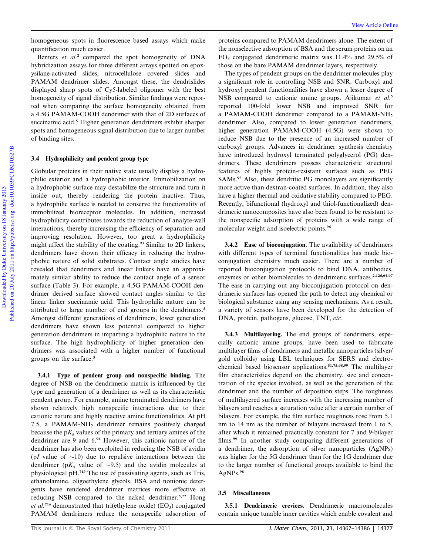homogeneous spots in fluorescence based assays which make quantification much easier.

Benters et al.<sup>2</sup> compared the spot homogeneity of DNA hybridization assays for three different arrays spotted on epoxysilane-activated slides, nitrocellulose covered slides and PAMAM dendrimer slides. Amongst these, the dendrislides displayed sharp spots of Cy5-labeled oligomer with the best homogeneity of signal distribution. Similar findings were reported when comparing the surface homogeneity obtained from a 4.5G PAMAM-COOH dendrimer with that of 2D surfaces of succinamic acid.<sup>5</sup> Higher generation dendrimers exhibit sharper spots and homogeneous signal distribution due to larger number of binding sites.

#### 3.4 Hydrophilicity and pendent group type

Globular proteins in their native state usually display a hydrophilic exterior and a hydrophobic interior. Immobilization on a hydrophobic surface may destabilize the structure and turn it inside out, thereby rendering the protein inactive. Thus, a hydrophilic surface is needed to conserve the functionality of immobilized bioreceptor molecules. In addition, increased hydrophilicity contributes towards the reduction of analyte-wall interactions, thereby increasing the efficiency of separation and improving resolution. However, too great a hydrophilicity might affect the stability of the coating.<sup>93</sup> Similar to 2D linkers, dendrimers have shown their efficacy in reducing the hydrophobic nature of solid substrates. Contact angle studies have revealed that dendrimers and linear linkers have an approximately similar ability to reduce the contact angle of a sensor surface (Table 3). For example, a 4.5G PAMAM-COOH dendrimer derived surface showed contact angles similar to the linear linker succinamic acid. This hydrophilic nature can be attributed to large number of end groups in the dendrimers.<sup>5</sup> Amongst different generations of dendrimers, lower generation dendrimers have shown less potential compared to higher generation dendrimers in imparting a hydrophilic nature to the surface. The high hydrophilicity of higher generation dendrimers was associated with a higher number of functional groups on the surface.<sup>5</sup>

3.4.1 Type of pendent group and nonspecific binding. The degree of NSB on the dendrimeric matrix is influenced by the type and generation of a dendrimer as well as its characteristic pendent group. For example, amine terminated dendrimers have shown relatively high nonspecific interactions due to their cationic nature and highly reactive amine functionalities. At pH 7.5, a PAMAM-NH<sup>2</sup> dendrimer remains positively charged because the  $pK_a$  values of the primary and tertiary amines of the dendrimer are 9 and 6.<sup>94</sup> However, this cationic nature of the dendrimer has also been exploited in reducing the NSB of avidin (p*I* value of  $\sim$ 10) due to repulsive interactions between the dendrimer ( $pK_a$  value of  $\sim$ 9.5) and the avidin molecules at physiological pH.<sup>71</sup><sup>b</sup> The use of passivating agents, such as Tris, ethanolamine, oligoethylene glycols, BSA and nonionic detergents have rendered dendrimer matrices more effective at reducing NSB compared to the naked dendrimer.<sup>5,77</sup> Hong *et al.*<sup>71a</sup> demonstrated that tri(ethylene oxide) (EO<sub>3</sub>) conjugated PAMAM dendrimers reduce the nonspecific adsorption of proteins compared to PAMAM dendrimers alone. The extent of the nonselective adsorption of BSA and the serum proteins on an  $EO_3$  conjugated dendrimeric matrix was 11.4% and 29.5% of those on the bare PAMAM dendrimer layers, respectively.

The types of pendent groups on the dendrimer molecules play a significant role in controlling NSB and SNR. Carboxyl and hydroxyl pendent functionalities have shown a lesser degree of NSB compared to cationic amine groups. Ajikumar *et al.*<sup>5</sup> reported 100-fold lower NSB and improved SNR for a PAMAM-COOH dendrimer compared to a PAMAM-NH<sup>2</sup> dendrimer. Also, compared to lower generation dendrimers, higher generation PAMAM-COOH (4.5G) were shown to reduce NSB due to the presence of an increased number of carboxyl groups. Advances in dendrimer synthesis chemistry have introduced hydroxyl terminated polyglycerol (PG) dendrimers. These dendrimers possess characteristic structural features of highly protein-resistant surfaces such as PEG SAMs.<sup>95</sup> Also, these dendritic PG monolayers are significantly more active than dextran-coated surfaces. In addition, they also have a higher thermal and oxidative stability compared to PEG. Recently, bifunctional (hydroxyl and thiol-functionalized) dendrimeric nanocomposites have also been found to be resistant to the nonspecific adsorption of proteins with a wide range of molecular weight and isoelectric points.<sup>96</sup>

3.4.2 Ease of bioconjugation. The availability of dendrimers with different types of terminal functionalities has made bioconjugation chemistry much easier. There are a number of reported bioconjugation protocols to bind DNA, antibodies, enzymes or other biomolecules to dendrimeric surfaces.<sup>2,12d,64,97</sup> The ease in carrying out any bioconjugation protocol on dendrimeric surfaces has opened the path to detect any chemical or biological substance using any sensing mechanisms. As a result, a variety of sensors have been developed for the detection of DNA, protein, pathogens, glucose, TNT, *etc.*

3.4.3 Multilayering. The end groups of dendrimers, especially cationic amine groups, have been used to fabricate multilayer films of dendrimers and metallic nanoparticles (silver/ gold colloids) using LBL techniques for SERS and electrochemical based biosensor applications.51,75,98,99 The multilayer film characteristics depend on the chemistry, size and concentration of the species involved, as well as the generation of the dendrimer and the number of deposition steps. The roughness of multilayered surface increases with the increasing number of bilayers and reaches a saturation value after a certain number of bilayers. For example, the film surface roughness rose from 5.1 nm to 14 nm as the number of bilayers increased from 1 to 5, after which it remained practically constant for 7 and 9-bilayer films.<sup>99</sup> In another study comparing different generations of a dendrimer, the adsorption of silver nanoparticles (AgNPs) was higher for the 5G dendrimer than for the 1G dendrimer due to the larger number of functional groups available to bind the AgNPs.<sup>98</sup>

#### 3.5 Miscellaneous

3.5.1 Dendrimeric crevices. Dendrimeric macromolecules contain unique tunable inner cavities which enable covalent and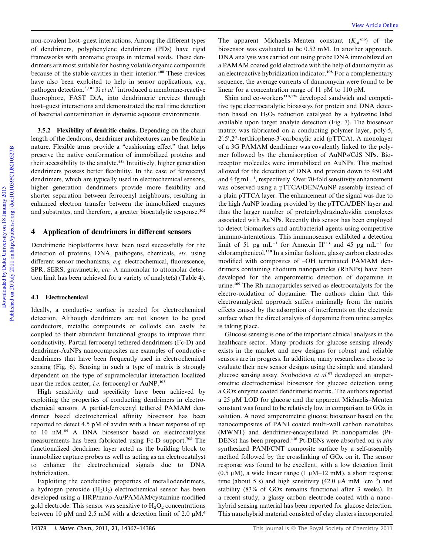non-covalent host–guest interactions. Among the different types of dendrimers, polyphenylene dendrimers (PDs) have rigid frameworks with aromatic groups in internal voids. These dendrimers are most suitable for hosting volatile organic compounds because of the stable cavities in their interior.<sup>100</sup> These crevices have also been exploited to help in sensor applications, *e.g.* pathogen detection.<sup>3,101</sup> Ji *et al*.<sup>3</sup> introduced a membrane-reactive fluorophore, FAST DiA, into dendrimeric crevices through host–guest interactions and demonstrated the real time detection of bacterial contamination in dynamic aqueous environments.

3.5.2 Flexibility of dendritic chains. Depending on the chain length of the dendrons, dendrimer architectures can be flexible in nature. Flexible arms provide a ''cushioning effect'' that helps preserve the native conformation of immobilized proteins and their accessibility to the analyte.<sup>45e</sup> Intuitively, higher generation dendrimers possess better flexibility. In the case of ferrocenyl dendrimers, which are typically used in electrochemical sensors, higher generation dendrimers provide more flexibility and shorter separation between ferrocenyl neighbours, resulting in enhanced electron transfer between the immobilized enzymes and substrates, and therefore, a greater biocatalytic response.<sup>102</sup>

### 4 Application of dendrimers in different sensors

Dendrimeric bioplatforms have been used successfully for the detection of proteins, DNA, pathogens, chemicals, *etc.* using different sensor mechanisms, *e.g.* electrochemical, fluorescence, SPR, SERS, gravimetric, *etc.* A nanomolar to attomolar detection limit has been achieved for a variety of analyte(s) (Table 4).

#### 4.1 Electrochemical

Ideally, a conductive surface is needed for electrochemical detection. Although dendrimers are not known to be good conductors, metallic compounds or colloids can easily be coupled to their abundant functional groups to improve their conductivity. Partial ferrocenyl tethered dendrimers (Fc-D) and dendrimer-AuNPs nanocomposites are examples of conductive dendrimers that have been frequently used in electrochemical sensing (Fig. 6). Sensing in such a type of matrix is strongly dependent on the type of supramolecular interaction localized near the redox center, *i.e.* ferrocenyl or AuNP.<sup>103</sup>

High sensitivity and specificity have been achieved by exploiting the properties of conducting dendrimers in electrochemical sensors. A partial-ferrocenyl tethered PAMAM dendrimer based electrochemical affinity biosensor has been reported to detect 4.5 pM of avidin with a linear response of up to 10 nM.<sup>64</sup> A DNA biosensor based on electrocatalysis measurements has been fabricated using Fc-D support.<sup>70b</sup> The functionalized dendrimer layer acted as the building block to immobilize capture probes as well as acting as an electrocatalyst to enhance the electrochemical signals due to DNA hybridization.

Exploiting the conductive properties of metallodendrimers, a hydrogen peroxide  $(H_2O_2)$  electrochemical sensor has been developed using a HRP/nano-Au/PAMAM/cystamine modified gold electrode. This sensor was sensitive to  $H_2O_2$  concentrations between 10  $\mu$ M and 2.5 mM with a detection limit of 2.0  $\mu$ M.<sup>6</sup>

The apparent Michaelis–Menten constant  $(K_m^{\text{app}})$  of the biosensor was evaluated to be 0.52 mM. In another approach, DNA analysis was carried out using probe DNA immobilized on a PAMAM coated gold electrode with the help of daunomycin as an electroactive hybridization indicator.<sup>108</sup> For a complementary sequence, the average currents of daunomycin were found to be linear for a concentration range of 11 pM to 110 pM.

Shim and co-workers<sup>110,128</sup> developed sandwich and competitive type electrocatalytic bioassays for protein and DNA detection based on  $H_2O_2$  reduction catalysed by a hydrazine label available upon target analyte detection (Fig. 7). The biosensor matrix was fabricated on a conducting polymer layer, poly-5, 2':5',2"-terthiophene-3'-carboxylic acid (pTTCA). A monolayer of a 3G PAMAM dendrimer was covalently linked to the polymer followed by the chemisorption of AuNPs/CdS NPs. Bioreceptor molecules were immobilized on AuNPs. This method allowed for the detection of DNA and protein down to 450 aM and  $4$  fg mL<sup>-1</sup>, respectively. Over 70-fold sensitivity enhancement was observed using a pTTCA/DEN/AuNP assembly instead of a plain pTTCA layer. The enhancement of the signal was due to the high AuNP loading provided by the pTTCA/DEN layer and thus the larger number of protein/hydrazine/avidin complexes associated with AuNPs. Recently this sensor has been employed to detect biomarkers and antibacterial agents using competitive immuno-interactions. This immunosensor exhibited a detection limit of 51 pg mL<sup>-1</sup> for Annexin II<sup>113</sup> and 45 pg mL<sup>-1</sup> for chloramphenicol.<sup>118</sup> In a similar fashion, glassy carbon electrodes modified with composites of –OH terminated PAMAM dendrimers containing rhodium nanoparticles (RhNPs) have been developed for the amperometric detection of dopamine in urine.<sup>109</sup> The Rh nanoparticles served as electrocatalysts for the electro-oxidation of dopamine. The authors claim that this electroanalytical approach suffers minimally from the matrix effects caused by the adsorption of interferents on the electrode surface when the direct analysis of dopamine from urine samples is taking place.

Glucose sensing is one of the important clinical analyses in the healthcare sector. Many products for glucose sensing already exists in the market and new designs for robust and reliable sensors are in progress. In addition, many researchers choose to evaluate their new sensor designs using the simple and standard glucose sensing assay. Svobodova *et al.*<sup>97</sup> developed an amperometric electrochemical biosensor for glucose detection using a GOx enzyme coated dendrimeric matrix. The authors reported a 25 µM LOD for glucose and the apparent Michaelis–Menten constant was found to be relatively low in comparison to GOx in solution. A novel amperometric glucose biosensor based on the nanocomposites of PANI coated multi-wall carbon nanotubes (MWNT) and dendrimer-encapsulated Pt nanoparticles (Pt-DENs) has been prepared.<sup>116</sup> Pt-DENs were absorbed on *in situ* synthesized PANI/CNT composite surface by a self-assembly method followed by the crosslinking of GOx on it. The sensor response was found to be excellent, with a low detection limit (0.5  $\mu$ M), a wide linear range (1  $\mu$ M–12 mM), a short response time (about 5 s) and high sensitivity (42.0  $\mu$ A mM<sup>-1</sup>cm<sup>-2</sup>) and stability (83% of GOx remains functional after 3 weeks). In a recent study, a glassy carbon electrode coated with a nanohybrid sensing material has been reported for glucose detection. This nanohybrid material consisted of clay clusters incorporated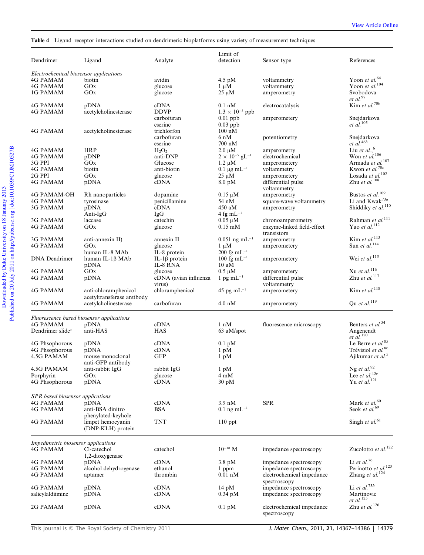Table 4 Ligand–receptor interactions studied on dendrimeric bioplatforms using variety of measurement techniques

|                                        |                                           |                       | Limit of                          |                            |                                       |
|----------------------------------------|-------------------------------------------|-----------------------|-----------------------------------|----------------------------|---------------------------------------|
| Dendrimer                              | Ligand                                    | Analyte               | detection                         | Sensor type                | References                            |
|                                        |                                           |                       |                                   |                            |                                       |
| Electrochemical biosensor applications | biotin                                    | avidin                |                                   |                            | Yoon et al. <sup>64</sup>             |
| 4G PAMAM                               |                                           |                       | $4.5 \text{ pM}$                  | voltammetry                | Yoon et al. <sup>104</sup>            |
| 4G PAMAM                               | GOx                                       | glucose               | $1 \mu M$                         | voltammetry                |                                       |
| 1G PAMAM                               | GOx                                       | glucose               | $25 \mu M$                        | amperometry                | Svobodova<br>$et$ al. $97$            |
|                                        |                                           |                       |                                   |                            | Kim et al. <sup>70b</sup>             |
| 4G PAMAM                               | pDNA                                      | cDNA                  | $0.1 \text{ nM}$                  | electrocatalysis           |                                       |
| 4G PAMAM                               | acetylcholinesterase                      | <b>DDVP</b>           | $1.3 \times 10^{-3}$ ppb          |                            |                                       |
|                                        |                                           | carbofuran            | $0.01$ ppb                        | amperometery               | Snejdarkova                           |
|                                        |                                           | eserine               | $0.03$ ppb                        |                            | $et$ al. <sup>105</sup>               |
| <b>4G PAMAM</b>                        | acetylcholinesterase                      | trichlorfon           | $100 \text{ nM}$                  |                            |                                       |
|                                        |                                           | carbofuran            | 6 nM                              | potentiometry              | Snejdarkova                           |
|                                        |                                           | eserine               | 700 nM                            |                            | $et$ $aI$ <sup>46b</sup>              |
| 4G PAMAM                               | <b>HRP</b>                                | $H_2O_2$              | $2.0 \mu M$                       | amperometry                | Liu et al., $6$                       |
| 4G PAMAM                               | pDNP                                      | anti-DNP              | $2\times10^{-5}$ gL <sup>-1</sup> | electrochemical            | Won et al. <sup>106</sup>             |
| 3G PPI                                 | GOx                                       | Glucose               | $1.2 \mu M$                       | amperometery               | Armada et al. <sup>107</sup>          |
| 4G PAMAM                               | biotin                                    | anti-biotin           | $0.1~\mu\text{g}~\text{mL}^{-1}$  | voltammetry                | Kwon et al. <sup>70c</sup>            |
| 2G PPI                                 | GOx                                       | glucose               | $25 \mu M$                        | amperometery               | Losada et al. <sup>102</sup>          |
| 4G PAMAM                               | pDNA                                      | cDNA                  | $8.0 \text{ pM}$                  | differential pulse         | Zhu et al. <sup>108</sup>             |
|                                        |                                           |                       |                                   | voltammetry                |                                       |
| <b>4G PAMAM-OH</b>                     | Rh nanoparticles                          | dopamine              | $0.15 \mu M$                      | amperometry                | Bustos et al. <sup>109</sup>          |
| <b>4G PAMAM</b>                        | tyrosinase                                | penicillamine         | 54 nM                             | square-wave voltammetry    | Li and ${\rm Kwak}^{73a}$             |
| 3G PAMAM                               | pDNA                                      | cDNA                  | 450 aM                            | amperometry                | Shiddiky et al. <sup>110</sup>        |
|                                        | Anti-IgG                                  | <b>IgG</b>            | 4 fg m $L^{-1}$                   |                            |                                       |
| 3G PAMAM                               | laccase                                   | catechin              | $0.05 \mu M$                      | chronoamperometry          | Rahman et al. <sup>111</sup>          |
| 4G PAMAM                               | GOx                                       | glucose               | $0.15$ mM                         | enzyme-linked field-effect | Yao et al. <sup>112</sup>             |
|                                        |                                           |                       |                                   | transistors                |                                       |
| 3G PAMAM                               | anti-annexin II)                          | annexin II            | $0.051$ ng mL <sup>-1</sup>       | amperometry                | Kim et al. <sup>113</sup>             |
| <b>4G PAMAM</b>                        | GOx                                       | glucose               | $1 \mu M$                         | amperometery               | Sun et al. $^{114}$                   |
|                                        | human IL-8 MAb                            | IL-8 protein          | $200 \text{ fg } \text{mL}^{-1}$  |                            |                                       |
| <b>DNA</b> Dendrimer                   | human IL-1β MAb                           | IL-1 $\beta$ protein  | $100 \text{ fg } \text{mL}^{-1}$  | amperometery               | Wei et al. <sup>115</sup>             |
|                                        | pDNA                                      | IL-8 RNA              | 10 aM                             |                            |                                       |
| <b>4G PAMAM</b>                        | GOx                                       | glucose               | $0.5 \mu M$                       | amperometery               | Xu et al. $^{116}$                    |
| 4G PAMAM                               | pDNA                                      | cDNA (avian influenza | 1 pg m $L^{-1}$                   | differential pulse         | Zhu et al. $117$                      |
|                                        |                                           | virus)                |                                   | voltammetry                |                                       |
| 4G PAMAM                               | anti-chloramphenicol                      | chloramphenicol       | $45 \text{ pg} \text{ mL}^{-1}$   | amperometery               | Kim et al. <sup>118</sup>             |
|                                        | acetyltransferase antibody                |                       |                                   |                            |                                       |
| <b>4G PAMAM</b>                        | acetylcholinesterase                      | carbofuran            | $4.0 \text{ nM}$                  | amperometery               | Qu et al. <sup>119</sup>              |
|                                        |                                           |                       |                                   |                            |                                       |
|                                        |                                           |                       |                                   |                            |                                       |
|                                        | Fluorescence based biosensor applications |                       |                                   |                            | Benters et al. <sup>54</sup>          |
| 4G PAMAM                               | pDNA                                      | cDNA                  | $1 \text{ nM}$                    | fluorescence microscopy    |                                       |
| Dendrimer slide <sup>a</sup>           | anti-HAS                                  | <b>HAS</b>            | 63 aM/spot                        |                            | Angenendt<br>$et$ al. <sup>120</sup>  |
|                                        |                                           |                       |                                   |                            |                                       |
| 4G Phsophorous                         | pDNA                                      | cDNA                  | $0.1 \text{ pM}$                  |                            | Le Berre et al. <sup>85</sup>         |
| 4G Phsophorous                         | pDNA                                      | cDNA                  | $1$ pM                            |                            | Trévisiol et al. <sup>86</sup>        |
| 4.5G PAMAM                             | mouse monoclonal                          | <b>GFP</b>            | $1$ pM                            |                            | Ajikumar et al. <sup>5</sup>          |
|                                        | anti-GFP antibody                         |                       |                                   |                            |                                       |
| 4.5G PAMAM                             | anti-rabbit IgG                           | rabbit IgG            | $1$ pM                            |                            | Ng et al. $92$                        |
| Porphyrin                              | GOx                                       | glucose               | 4 mM                              |                            | Lee et al. $45e$                      |
| 4G Phsophorous                         | pDNA                                      | cDNA                  | 30 pM                             |                            | Yu et al. <sup>121</sup>              |
|                                        |                                           |                       |                                   |                            |                                       |
| SPR based biosensor applications       |                                           |                       |                                   |                            |                                       |
| <b>4G PAMAM</b>                        | pDNA                                      | cDNA                  | $3.9 \text{ nM}$                  | <b>SPR</b>                 | Mark et al. <sup>60</sup>             |
| <b>4G PAMAM</b>                        | anti-BSA dinitro                          | <b>BSA</b>            | $0.1$ ng mL <sup>-1</sup>         |                            | Seok et al. <sup>69</sup>             |
|                                        | phenylated-keyhole                        |                       |                                   |                            |                                       |
| <b>4G PAMAM</b>                        | limpet hemocyanin                         | TNT                   | $110$ ppt                         |                            | Singh et al. <sup>61</sup>            |
|                                        | (DNP-KLH) protein                         |                       |                                   |                            |                                       |
|                                        |                                           |                       |                                   |                            |                                       |
| Impedimetric biosensor applications    |                                           |                       |                                   |                            |                                       |
| 4G PAMAM                               | Cl-catechol                               | catechol              | $10^{-10}$ M                      | impedance spectroscopy     | Zucolotto et al. <sup>122</sup>       |
|                                        | 1,2-dioxygenase                           |                       |                                   |                            |                                       |
| 4G PAMAM                               | pDNA                                      | cDNA                  | $3.8 \text{ pM}$                  | impedance spectroscopy     | Li $et\;al.^{76}$                     |
| 4G PAMAM                               | alcohol dehydrogenase                     | ethanol               | 1 ppm                             | impedance spectroscopy     | Perinotto et al. <sup>123</sup>       |
|                                        |                                           | thrombin              | $0.01$ nM                         |                            | Zhang et al. $124$                    |
| 4G PAMAM                               | aptamer                                   |                       |                                   | electrochemical impedance  |                                       |
|                                        |                                           |                       |                                   | spectroscopy               | Li et al. $73b$                       |
| <b>4G PAMAM</b>                        | pDNA                                      | cDNA                  | $14 \text{ pM}$                   | impedance spectroscopy     |                                       |
| salicylaldiimine                       | pDNA                                      | cDNA                  | $0.34$ pM                         | impedance spectroscopy     | Martinovic<br>$et$ al. <sup>125</sup> |
|                                        |                                           |                       |                                   |                            | Zhu et al. $126$                      |
| 2G PAMAM                               | pDNA                                      | cDNA                  | $0.1 \text{ pM}$                  | electrochemical impedance  |                                       |
|                                        |                                           |                       |                                   | spectroscopy               |                                       |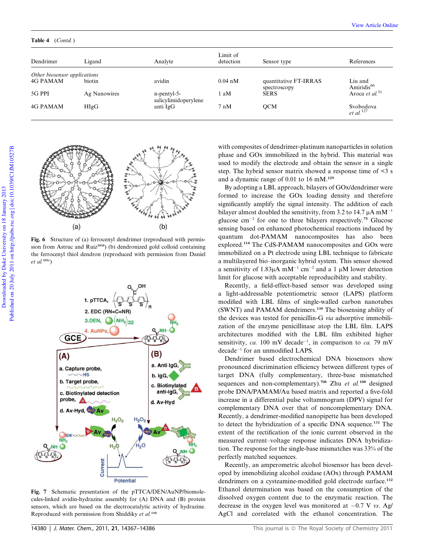Table 4 (*Contd.*)

| Dendrimer                    | Ligand       | Analyte                             | Limit of<br>detection | Sensor type                 | References                                |
|------------------------------|--------------|-------------------------------------|-----------------------|-----------------------------|-------------------------------------------|
| Other biosensor applications |              |                                     |                       |                             |                                           |
| <b>4G PAMAM</b>              | biotin       | avidin                              | $0.04$ nM             | quantitative FT-IRRAS       | Liu and<br>Amiridis <sup>66</sup>         |
| 5G PPI                       | Ag Nanowires | n-pentyl-5-<br>salicylimidoperylene | l aM                  | spectroscopy<br><b>SERS</b> | Aroca et al. <sup>51</sup>                |
| 4G PAMAM                     | HlgG         | anti IgG                            | $7 \text{ nM}$        | <b>OCM</b>                  | Svobodova<br><i>et al.</i> <sup>127</sup> |



Fig. 6 Structure of (a) ferrocenyl dendrimer (reproduced with permission from Astruc and Ruiz<sup>103b</sup>) (b) dendronized gold colloid containing the ferrocenyl thiol dendron (reproduced with permission from Daniel *et al.*<sup>103</sup><sup>c</sup> )



Fig. 7 Schematic presentation of the pTTCA/DEN/AuNP/biomolecules-linked avidin-hydrazine assembly for (A) DNA and (B) protein sensors, which are based on the electrocatalytic activity of hydrazine. Reproduced with permission from Shiddiky *et al.*<sup>110</sup>

with composites of dendrimer-platinum nanoparticles in solution phase and GOx immobilized in the hybrid. This material was used to modify the electrode and obtain the sensor in a single step. The hybrid sensor matrix showed a response time of <3 s and a dynamic range of 0.01 to 16 mM.<sup>129</sup>

By adopting a LBL approach, bilayers of GOx/dendrimer were formed to increase the GOx loading density and therefore significantly amplify the signal intensity. The addition of each bilayer almost doubled the sensitivity, from 3.2 to 14.7  $\mu$ A mM<sup>-1</sup> glucose cm<sup>-2</sup> for one to three bilayers respectively.<sup>75</sup> Glucose sensing based on enhanced photochemical reactions induced by quantum dot-PAMAM nanocomposites has also been explored.<sup>114</sup> The CdS-PAMAM nanocomposites and GOx were immobilized on a Pt electrode using LBL technique to fabricate a multilayered bio–inorganic hybrid system. This sensor showed a sensitivity of 1.83 $\mu$ A mM<sup>-1</sup> cm<sup>-2</sup> and a 1  $\mu$ M lower detection limit for glucose with acceptable reproducibility and stability.

Recently, a field-effect-based sensor was developed using a light-addressable potentiometric sensor (LAPS) platform modified with LBL films of single-walled carbon nanotubes (SWNT) and PAMAM dendrimers.<sup>130</sup> The biosensing ability of the devices was tested for penicillin-G *via* adsorptive immobilization of the enzyme penicillinase atop the LBL film. LAPS architectures modified with the LBL film exhibited higher sensitivity, *ca.* 100 mV decade<sup>-1</sup>, in comparison to *ca.* 79 mV decade<sup>-1</sup> for an unmodified LAPS.

Dendrimer based electrochemical DNA biosensors show pronounced discrimination efficiency between different types of target DNA (fully complementary, three-base mismatched sequences and non-complementary).<sup>70b</sup> Zhu *et al.*<sup>108</sup> designed probe DNA/PAMAM/Au based matrix and reported a five-fold increase in a differential pulse voltammogram (DPV) signal for complementary DNA over that of noncomplementary DNA. Recently, a dendrimer-modified nanopipette has been developed to detect the hybridization of a specific DNA sequence.<sup>131</sup> The extent of the rectification of the ionic current observed in the measured current–voltage response indicates DNA hybridization. The response for the single-base mismatches was 33% of the perfectly matched sequences.

Recently, an amperometric alcohol biosensor has been developed by immobilizing alcohol oxidase (AOx) through PAMAM dendrimers on a cysteamine-modified gold electrode surface.<sup>132</sup> Ethanol determination was based on the consumption of the dissolved oxygen content due to the enzymatic reaction. The decrease in the oxygen level was monitored at  $-0.7$  V *vs*. Ag/ AgCl and correlated with the ethanol concentration. The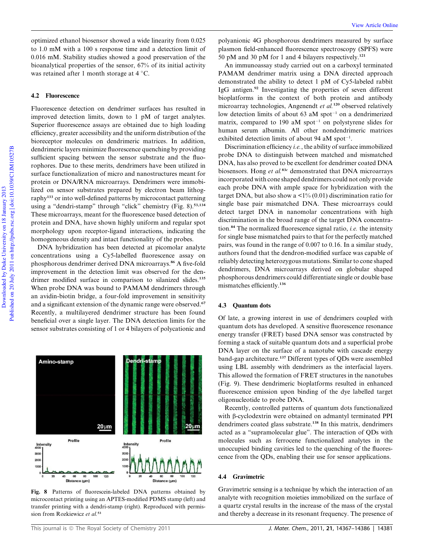optimized ethanol biosensor showed a wide linearity from 0.025 to 1.0 mM with a 100 s response time and a detection limit of 0.016 mM. Stability studies showed a good preservation of the bioanalytical properties of the sensor, 67% of its initial activity was retained after 1 month storage at  $4^{\circ}$ C.

#### 4.2 Fluorescence

Fluorescence detection on dendrimer surfaces has resulted in improved detection limits, down to 1 pM of target analytes. Superior fluorescence assays are obtained due to high loading efficiency, greater accessibility and the uniform distribution of the bioreceptor molecules on dendrimeric matrices. In addition, dendrimeric layers minimize fluorescence quenching by providing sufficient spacing between the sensor substrate and the fluorophores. Due to these merits, dendrimers have been utilized in surface functionalization of micro and nanostructures meant for protein or DNA/RNA microarrays. Dendrimers were immobilized on sensor substrates prepared by electron beam lithography<sup>133</sup> or into well-defined patterns by microcontact patterning using a "dendri-stamp" through "click" chemistry (Fig. 8).<sup>53,134</sup> These microarrays, meant for the fluorescence based detection of protein and DNA, have shown highly uniform and regular spot morphology upon receptor-ligand interactions, indicating the homogeneous density and intact functionality of the probes.

DNA hybridization has been detected at picomolar analyte concentrations using a Cy5-labelled fluorescence assay on phosphorous dendrimer derived DNA microarrays.<sup>86</sup> A five-fold improvement in the detection limit was observed for the dendrimer modified surface in comparison to silanized slides.<sup>135</sup> When probe DNA was bound to PAMAM dendrimers through an avidin-biotin bridge, a four-fold improvement in sensitivity and a significant extension of the dynamic range were observed.<sup>67</sup> Recently, a multilayered dendrimer structure has been found beneficial over a single layer. The DNA detection limits for the sensor substrates consisting of 1 or 4 bilayers of polycationic and



Fig. 8 Patterns of fluorescein-labeled DNA patterns obtained by microcontact printing using an APTES-modified PDMS stamp (left) and transfer printing with a dendri-stamp (right). Reproduced with permission from Rozkiewicz *et al.*<sup>53</sup>

polyanionic 4G phosphorous dendrimers measured by surface plasmon field-enhanced fluorescence spectroscopy (SPFS) were 50 pM and 30 pM for 1 and 4 bilayers respectively.<sup>121</sup>

An immunoassay study carried out on a carboxyl terminated PAMAM dendrimer matrix using a DNA directed approach demonstrated the ability to detect 1 pM of Cy5-labeled rabbit IgG antigen.<sup>92</sup> Investigating the properties of seven different bioplatforms in the context of both protein and antibody microarray technologies, Angenendt *et al.*<sup>120</sup> observed relatively low detection limits of about 63 aM spot<sup>-1</sup> on a dendrimerized matrix, compared to 190 aM spot<sup>-1</sup> on polystyrene slides for human serum albumin. All other nondendrimeric matrices exhibited detection limits of about 94 aM spot<sup>-1</sup>.

Discrimination efficiency *i.e.*, the ability of surface immobilized probe DNA to distinguish between matched and mismatched DNA, has also proved to be excellent for dendrimer coated DNA biosensors. Hong *et al.*<sup>83c</sup> demonstrated that DNA microarrays incorporated with cone shaped dendrimers could not only provide each probe DNA with ample space for hybridization with the target DNA, but also show a  $\lt 1\%$  (0.01) discrimination ratio for single base pair mismatched DNA. These microarrays could detect target DNA in nanomolar concentrations with high discrimination in the broad range of the target DNA concentration.<sup>84</sup> The normalized fluorescence signal ratio, *i.e.* the intensity for single base mismatched pairs to that for the perfectly matched pairs, was found in the range of 0.007 to 0.16. In a similar study, authors found that the dendron-modified surface was capable of reliably detecting heterozygous mutations. Similar to cone shaped dendrimers, DNA microarrays derived on globular shaped phosphorous dendrimers could differentiate single or double base mismatches efficiently.<sup>136</sup>

#### 4.3 Quantum dots

Of late, a growing interest in use of dendrimers coupled with quantum dots has developed. A sensitive fluorescence resonance energy transfer (FRET) based DNA sensor was constructed by forming a stack of suitable quantum dots and a superficial probe DNA layer on the surface of a nanotube with cascade energy band-gap architecture.<sup>137</sup> Different types of QDs were assembled using LBL assembly with dendrimers as the interfacial layers. This allowed the formation of FRET structures in the nanotubes (Fig. 9). These dendrimeric bioplatforms resulted in enhanced fluorescence emission upon binding of the dye labelled target oligonucleotide to probe DNA.

Recently, controlled patterns of quantum dots functionalized with β-cyclodextrin were obtained on admantyl terminated PPI dendrimers coated glass substrate.<sup>138</sup> In this matrix, dendrimers acted as a ''supramolecular glue''. The interaction of QDs with molecules such as ferrocene functionalized analytes in the unoccupied binding cavities led to the quenching of the fluorescence from the QDs, enabling their use for sensor applications.

#### 4.4 Gravimetric

Gravimetric sensing is a technique by which the interaction of an analyte with recognition moieties immobilized on the surface of a quartz crystal results in the increase of the mass of the crystal and thereby a decrease in its resonant frequency. The presence of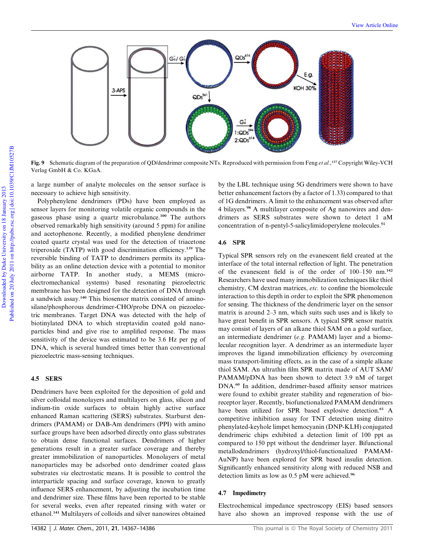

Fig. 9 Schematic diagram of the preparation of QD/dendrimer composite NTs. Reproduced with permission from Feng *et al.*, <sup>137</sup> Copyright Wiley-VCH Verlag GmbH & Co. KGaA.

a large number of analyte molecules on the sensor surface is necessary to achieve high sensitivity.

Polyphenylene dendrimers (PDs) have been employed as sensor layers for monitoring volatile organic compounds in the gaseous phase using a quartz microbalance.<sup>100</sup> The authors observed remarkably high sensitivity (around 5 ppm) for aniline and acetophenone. Recently, a modified phenylene dendrimer coated quartz crystal was used for the detection of triacetone triperoxide (TATP) with good discrimination efficiency.<sup>139</sup> The reversible binding of TATP to dendrimers permits its applicability as an online detection device with a potential to monitor airborne TATP. In another study, a MEMS (microelectromechanical systems) based resonating piezoelectric membrane has been designed for the detection of DNA through a sandwich assay.<sup>140</sup> This biosensor matrix consisted of aminosilane/phosphorous dendrimer-CHO/probe DNA on piezoelectric membranes. Target DNA was detected with the help of biotinylated DNA to which streptavidin coated gold nanoparticles bind and give rise to amplified response. The mass sensitivity of the device was estimated to be 3.6 Hz per pg of DNA, which is several hundred times better than conventional piezoelectric mass-sensing techniques.

#### 4.5 SERS

Dendrimers have been exploited for the deposition of gold and silver colloidal monolayers and multilayers on glass, silicon and indium-tin oxide surfaces to obtain highly active surface enhanced Raman scattering (SERS) substrates. Starburst dendrimers (PAMAM) or DAB-Am dendrimers (PPI) with amino surface groups have been adsorbed directly onto glass substrates to obtain dense functional surfaces. Dendrimers of higher generations result in a greater surface coverage and thereby greater immobilization of nanoparticles. Monolayers of metal nanoparticles may be adsorbed onto dendrimer coated glass substrates *via* electrostatic means. It is possible to control the interparticle spacing and surface coverage, known to greatly influence SERS enhancement, by adjusting the incubation time and dendrimer size. These films have been reported to be stable for several weeks, even after repeated rinsing with water or ethanol.<sup>141</sup> Multilayers of colloids and silver nanowires obtained

by the LBL technique using 5G dendrimers were shown to have better enhancement factors (by a factor of 1.33) compared to that of 1G dendrimers. A limit to the enhancement was observed after 4 bilayers.<sup>98</sup> A multilayer composite of Ag nanowires and dendrimers as SERS substrates were shown to detect 1 aM concentration of n-pentyl-5-salicylimidoperylene molecules.<sup>51</sup>

# 4.6 SPR

Typical SPR sensors rely on the evanescent field created at the interface of the total internal reflection of light. The penetration of the evanescent field is of the order of 100–150 nm.<sup>142</sup> Researchers have used many immobilization techniques like thiol chemistry, CM dextran matrices, *etc.* to confine the biomolecule interaction to this depth in order to exploit the SPR phenomenon for sensing. The thickness of the dendrimeric layer on the sensor matrix is around 2–3 nm, which suits such uses and is likely to have great benefit in SPR sensors. A typical SPR sensor matrix may consist of layers of an alkane thiol SAM on a gold surface, an intermediate dendrimer (*e.g.* PAMAM) layer and a biomolecular recognition layer. A dendrimer as an intermediate layer improves the ligand immobilization efficiency by overcoming mass transport-limiting effects, as in the case of a simple alkane thiol SAM. An ultrathin film SPR matrix made of AUT SAM/ PAMAM/pDNA has been shown to detect 3.9 nM of target DNA.<sup>60</sup> In addition, dendrimer-based affinity sensor matrices were found to exhibit greater stability and regeneration of bioreceptor layer. Recently, biofunctionalized PAMAM dendrimers have been utilized for SPR based explosive detection.<sup>61</sup> A competitive inhibition assay for TNT detection using dinitro phenylated-keyhole limpet hemocyanin (DNP-KLH) conjugated dendrimeric chips exhibited a detection limit of 100 ppt as compared to 150 ppt without the dendrimer layer. Bifunctional metallodendrimers (hydroxyl/thiol-functionalized PAMAM-AuNP) have been explored for SPR based insulin detection. Significantly enhanced sensitivity along with reduced NSB and detection limits as low as 0.5 pM were achieved.<sup>96</sup>

#### 4.7 Impedimetry

Electrochemical impedance spectroscopy (EIS) based sensors have also shown an improved response with the use of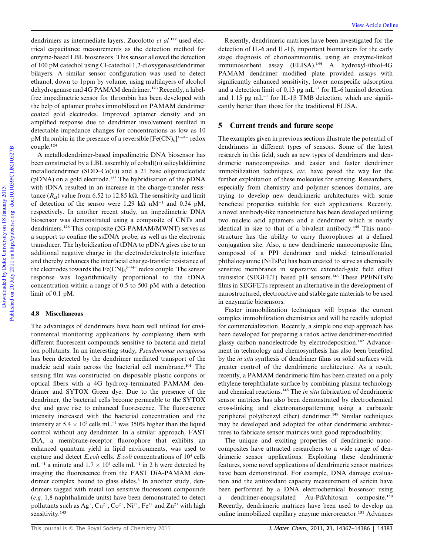dendrimers as intermediate layers. Zucolotto *et al.*<sup>122</sup> used electrical capacitance measurements as the detection method for enzyme-based LBL biosensors. This sensor allowed the detection of 100 pM catechol using Cl-catechol 1,2-dioxygenase/dendrimer bilayers. A similar sensor configuration was used to detect ethanol, down to 1ppm by volume, using multilayers of alcohol dehydrogenase and 4G PAMAM dendrimer.<sup>123</sup> Recently, a labelfree impedimetric sensor for thrombin has been developed with the help of aptamer probes immobilized on PAMAM dendrimer coated gold electrodes. Improved aptamer density and an amplified response due to dendrimer involvement resulted in detectable impedance changes for concentrations as low as 10 pM thrombin in the presence of a reversible  $[Fe(CN)_6]^{3-4-}$  redox couple.<sup>124</sup>

A metallodendrimer-based impedimetric DNA biosensor has been constructed by a LBL assembly of  $\text{cobalt}(\text{II})$  salicylaldiimine metallodendrimer (SDD–Co $(n)$ ) and a 21 base oligonucleotide (pDNA) on a gold electrode.<sup>125</sup> The hybridisation of the pDNA with tDNA resulted in an increase in the charge-transfer resistance  $(R_{\rm ct})$  value from 6.52 to 12.85 k $\Omega$ . The sensitivity and limit of detection of the sensor were 1.29 k $\Omega$  nM<sup>-1</sup> and 0.34 pM, respectively. In another recent study, an impedimetric DNA biosensor was demonstrated using a composite of CNTs and dendrimers.<sup>126</sup> This composite (2G-PAMAM/MWNT) serves as a support to confine the ssDNA probe, as well as the electronic transducer. The hybridization of tDNA to pDNA gives rise to an additional negative charge in the electrode/electrolyte interface and thereby enhances the interfacial charge-transfer resistance of the electrodes towards the  $\text{Fe(CN)}_{6}^{\text{3-44}}$  redox couple. The sensor response was logarithmically proportional to the tDNA concentration within a range of 0.5 to 500 pM with a detection limit of 0.1 pM.

#### 4.8 Miscellaneous

The advantages of dendrimers have been well utilized for environmental monitoring applications by complexing them with different fluorescent compounds sensitive to bacteria and metal ion pollutants. In an interesting study, *Pseudomonas aeruginosa* has been detected by the dendrimer mediated transport of the nucleic acid stain across the bacterial cell membrane.<sup>101</sup> The sensing film was constructed on disposable plastic coupons or optical fibers with a 4G hydroxy-terminated PAMAM dendrimer and SYTOX Green dye. Due to the presence of the dendrimer, the bacterial cells become permeable to the SYTOX dye and gave rise to enhanced fluorescence. The fluorescence intensity increased with the bacterial concentration and the intensity at  $5.4 \times 10^7$  cells mL<sup>-1</sup> was 350% higher than the liquid control without any dendrimer. In a similar approach, FAST DiA, a membrane-receptor fluorophore that exhibits an enhanced quantum yield in lipid environments, was used to capture and detect *E.coli* cells. *E.coli* concentrations of 10<sup>4</sup> cells  $mL^{-1}$  a minute and  $1.7 \times 10^3$  cells  $mL^{-1}$  in 2 h were detected by imaging the fluorescence from the FAST DiA-PAMAM dendrimer complex bound to glass slides.<sup>3</sup> In another study, dendrimers tagged with metal ion sensitive fluorescent compounds (*e.g.* 1,8-naphthalimide units) have been demonstrated to detect pollutants such as  $Ag^+$ ,  $Cu^{2+}$ ,  $Co^{2+}$ ,  $Ni^{2+}$ ,  $Fe^{3+}$  and  $Zn^{2+}$  with high sensitivity.<sup>143</sup>

Recently, dendrimeric matrices have been investigated for the detection of IL-6 and IL-1 $\beta$ , important biomarkers for the early stage diagnosis of chorioamnionitis, using an enzyme-linked immunosorbent assay (ELISA).<sup>144</sup> A hydroxyl-/thiol-4G PAMAM dendrimer modified plate provided assays with significantly enhanced sensitivity, lower nonspecific adsorption and a detection limit of 0.13 pg  $mL^{-1}$  for IL-6 luminol detection and 1.15 pg  $mL^{-1}$  for IL-1 $\beta$  TMB detection, which are significantly better than those for the traditional ELISA.

#### 5 Current trends and future scope

The examples given in previous sections illustrate the potential of dendrimers in different types of sensors. Some of the latest research in this field, such as new types of dendrimers and dendrimeric nanocomposites and easier and faster dendrimer immobilization techniques, *etc.* have paved the way for the further exploitation of these molecules for sensing. Researchers, especially from chemistry and polymer sciences domains, are trying to develop new dendrimeric architectures with some beneficial properties suitable for such applications. Recently, a novel antibody-like nanostructure has been developed utilizing two nucleic acid aptamers and a dendrimer which is nearly identical in size to that of a bivalent antibody.<sup>145</sup> This nanostructure has the ability to carry fluorophores at a defined conjugation site. Also, a new dendrimeric nanocomposite film, composed of a PPI dendrimer and nickel tetrasulfonated phthalocyanine (NiTsPc) has been created to serve as chemically sensitive membranes in separative extended-gate field effect transistor (SEGFET) based pH sensors.<sup>146</sup> These PPI/NiTsPc films in SEGFETs represent an alternative in the development of nanostructured, electroactive and stable gate materials to be used in enzymatic biosensors.

Faster immobilization techniques will bypass the current complex immobilization chemistries and will be readily adopted for commercialization. Recently, a simple one step approach has been developed for preparing a redox active dendrimer-modified glassy carbon nanoelectrode by electrodeposition.<sup>147</sup> Advancement in technology and chemosynthesis has also been benefited by the *in situ* synthesis of dendrimer films on solid surfaces with greater control of the dendrimeric architecture. As a result, recently, a PAMAM dendrimeric film has been created on a poly ethylene terephthalate surface by combining plasma technology and chemical reactions.<sup>148</sup> The *in situ* fabrication of dendrimeric sensor matrices has also been demonstrated by electrochemical cross-linking and electronanopatterning using a carbazole peripheral poly(benzyl ether) dendrimer.<sup>149</sup> Similar techniques may be developed and adopted for other dendrimeric architectures to fabricate sensor matrices with good reproducibility.

The unique and exciting properties of dendrimeric nanocomposites have attracted researchers to a wide range of dendrimeric sensor applications. Exploiting these dendrimeric features, some novel applications of dendrimeric sensor matrices have been demonstrated. For example, DNA damage evaluation and the antioxidant capacity measurement of sericin have been performed by a DNA electrochemical biosensor using a dendrimer-encapsulated Au-Pd/chitosan composite.<sup>150</sup> Recently, dendrimeric matrices have been used to develop an online immobilized capillary enzyme microreactor.<sup>151</sup> Advances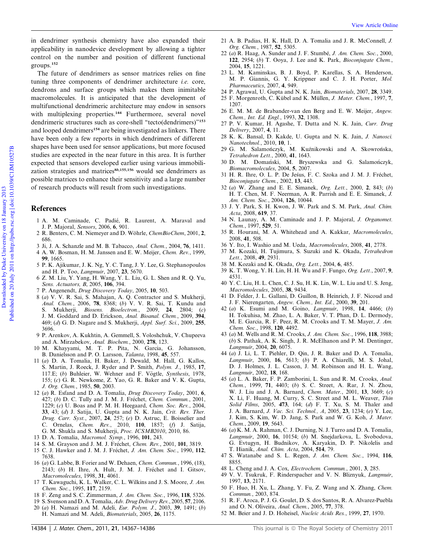in dendrimer synthesis chemistry have also expanded their applicability in nanodevice development by allowing a tighter control on the number and position of different functional groups.<sup>152</sup>

The future of dendrimers as sensor matrices relies on fine tuning three components of dendrimer architecture *i.e.* core, dendrons and surface groups which makes them inimitable macromolecules. It is anticipated that the development of multifunctional dendrimeric architecture may endow in sensors with multiplexing properties.<sup>144</sup> Furthermore, several novel dendrimeric structures such as core-shell "tecto(dendrimers)"<sup>153</sup> and looped dendrimers<sup>154</sup> are being investigated as linkers. There have been only a few reports in which dendrimers of different shapes have been used for sensor applications, but more focused studies are expected in the near future in this area. It is further expected that sensors developed earlier using various immobilization strategies and matrices $8b,155,156$  would see dendrimers as possible matrices to enhance their sensitivity and a large number of research products will result from such investigations.

#### References

- 1 A. M. Caminade, C. Padié, R. Laurent, A. Maraval and J. P. Majoral, *Sensors*, 2006, 6, 901.
- 2 R. Benters, C. M. Niemeyer and D. Wöhrle, *ChemBioChem*, 2001, 2, 686.
- 3 Ji, J. A. Schanzle and M. B. Tabacco, *Anal. Chem.*, 2004, 76, 1411.
- 4 A. W. Bosman, H. M. Janssen and E. W. Meijer, *Chem. Rev.*, 1999, 99, 1665.
- 5 P. K. Ajikumar, J. K. Ng, Y. C. Tang, J. Y. Lee, G. Stephanopoulos and H. P. Too, *Langmuir*, 2007, 23, 5670.
- 6 Z. M. Liu, Y. Yang, H. Wang, Y. L. Liu, G. L. Shen and R. Q. Yu, *Sens. Actuators, B*, 2005, 106, 394.
- 7 P. Angenendt, *Drug Discovery Today*, 2005, 10, 503.
- 8 (*a*) V. V. R. Sai, S. Mahajan, A. Q. Contractor and S. Mukherji, *Anal. Chem.*, 2006, 78, 8368; (*b*) V. V. R. Sai, T. Kundu and S. Mukherji, *Biosens. Bioelectron.*, 2009, 24, 2804; (*c*) J. M. Goddard and D. Erickson, *Anal. Bioanal. Chem.*, 2009, 394, 469; (*d*) G. D. Nagare and S. Mukherji, *Appl. Surf. Sci.*, 2009, 255, 3696.
- 9 P. Arenkov, A. Kukhtin, A. Gemmell, S. Voloshchuk, V. Chupeeva and A. Mirzabekov, *Anal. Biochem.*, 2000, 278, 123.
- 10 M. Khayyami, M. T. P. Pita, N. Garcia, G. Johansson, B. Danielsson and P. O. Larsson, *Talanta*, 1998, 45, 557.
- 11 (*a*) D. A. Tomalia, H. Baker, J. Dewald, M. Hall, G. Kallos, S. Martin, J. Roeck, J. Ryder and P. Smith, *Polym. J.*, 1985, 17, 117.E; (b) Buhleier, W. Wehner and F. Vögtle, *Synthesis*, 1978, 155; (*c*) G. R. Newkome, Z. Yao, G. R. Baker and V. K. Gupta, *J. Org. Chem.*, 1985, 50, 2003.
- 12 (*a*) R. Esfand and D. A. Tomalia, *Drug Discovery Today*, 2001, 6, 427; (b) D. C. Tully and J. M. J. Fréchet, *Chem. Commun.*, 2001, 1229; (*c*) U. Boas and P. M. H. Heegaard, *Chem. Soc. Rev.*, 2004, 33, 43; (*d*) J. Satija, U. Gupta and N. K. Jain, *Crit. Rev. Ther. Drug. Carr. Syst.*, 2007, 24, 257; (*e*) D. Astruc, E. Boisselier and C. Ornelas, *Chem. Rev.*, 2010, 110, 1857; (*f*) J. Satija, G. M. Shukla and S. Mukherji, *Proc. ICSMB2010*, 2010, 86.
- 13 D. A. Tomalia, *Macromol. Symp.*, 1996, 101, 243.
- 14 S. M. Grayson and J. M. J. Fréchet, *Chem. Rev.*, 2001, 101, 3819.
- 15 C. J. Hawker and J. M. J. Fréchet, *J. Am. Chem. Soc.*, 1990, 112, 7638.
- 16 (*a*) G. Labbe, B. Forier and W. Dehaen, *Chem. Commun.*, 1996, (18), 2143; (b) H. Ihre, A. Hult, J. M. J. Fréchet and I. Gitsov, *Macromolecules*, 1998, 31, 4061.
- 17 T. Kawaguchi, K. L. Walker, C. L. Wilkins and J. S. Moore, *J. Am. Chem. Soc.*, 1995, 117, 2159.
- 18 F. Zeng and S. C. Zimmerman, *J. Am. Chem. Soc.*, 1996, 118, 5326.
- 19 S. Svenson and D. A. Tomalia, *Adv. Drug Delivery Rev.*, 2005, 57, 2106.
- 20 (*a*) H. Namazi and M. Adeli, *Eur. Polym. J.*, 2003, 39, 1491; (*b*) H. Namazi and M. Adeli, *Biomaterials*, 2005, 26, 1175.
- 21 A. B. Padias, H. K. Hall, D. A. Tomalia and J. R. McConnell, *J. Org. Chem.*, 1987, 52, 5305.
- 22 (a) R. Haag, A. Sunder and J. F. Stumbé, *J. Am. Chem. Soc.*, 2000, 122, 2954; (*b*) T. Ooya, J. Lee and K. Park, *Bioconjugate Chem.*, 2004, 15, 1221.
- 23 L. M. Kaminskas, B. J. Boyd, P. Karellas, S. A. Henderson, M. P. Giannis, G. Y. Krippner and C. J. H. Porter, *Mol. Pharmaceutics*, 2007, 4, 949.
- 24 P. Agrawal, U. Gupta and N. K. Jain, *Biomaterials*, 2007, 28, 3349.
- 25 F. Morgenroth, C. Kübel and K. Müllen, J. Mater. Chem., 1997, 7, 1207.
- 26 E. M. M. de Brabander-van den Berg and E. W. Meijer, *Angew. Chem., Int. Ed. Engl.*, 1993, 32, 1308.
- 27 P. V. Kumar, H. Agashe, T. Dutta and N. K. Jain, *Curr. Drug Delivery*, 2007, 4, 11.
- 28 K. K. Bansal, D. Kakde, U. Gupta and N. K. Jain, *J. Nanosci. Nanotechnol.*, 2010, 10, 1.
- 29 G. M. Salamończyk, M. Kuźnikowski and A. Skowrońska, *Tetrahedron Lett.*, 2000, 41, 1643.
- 30 D. M. Domański, M. Bryszewska and G. Salamończyk, *Biomacromolecules*, 2004, 5, 2007.
- 31 H. R. Ihre, O. L. P. De Jeśus, F. C. Szoka and J. M. J. Fréchet, *Bioconjugate Chem.*, 2002, 13, 443.
- 32 (*a*) W. Zhang and E. E. Simanek, *Org. Lett.*, 2000, 2, 843; (*b*) H. T. Chen, M. F. Neerman, A. R. Parrish and E. E. Simanek, *J. Am. Chem. Soc.*, 2004, 126, 10044.
- 33 J. Y. Park, S. H. Kwon, J. W. Park and S. M. Park, *Anal. Chim. Acta*, 2008, 619, 37.
- 34 N. Launay, A. M. Caminade and J. P. Majoral, *J. Organomet. Chem.*, 1997, 529, 51.
- 35 R. Hourani, M. A. Whitehead and A. Kakkar, *Macromolecules*, 2008, 41, 508.
- 36 Y. Ito, I. Washio and M. Ueda, *Macromolecules*, 2008, 41, 2778.
- 37 M. Kozaki, H. Tujimura, S. Suzuki and K. Okada, *Tetrahedron Lett.*, 2008, 49, 2931.
- 38 M. Kozaki and K. Okada, *Org. Lett.*, 2004, 6, 485.
- 39 K. T. Wong, Y. H. Lin, H. H. Wu and F. Fungo, *Org. Lett.*, 2007, 9, 4531.
- 40 Y. C. Liu, H. L. Chen, C. J. Su, H. K. Lin, W. L. Liu and U. S. Jeng, *Macromolecules*, 2005, 38, 9434.
- 41 D. Felder, J. L. Gallani, D. Guillon, B. Heinrich, J. F. Nicoud and J. F. Nierengarten, *Angew. Chem., Int. Ed.*, 2000, 39, 201.
- 42 (*a*) K. Esumi and M. Goino, *Langmuir*, 1998, 14, 4466; (*b*) H. Tokuhisa, M. Zhao, L. A. Baker, V. T. Phan, D. L. Dermody, M. E. Garcia, R. F. Peez, R. M. Crooks and T. M. Mayer, *J. Am. Chem. Soc.*, 1998, 120, 4492.
- 43 (*a*) M. Wells and R. M. Crooks, *J. Am. Chem. Soc.*, 1996, 118, 3988; (*b*) S. Pathak, A. K. Singh, J. R. McElhanon and P. M. Dentinger, *Langmuir*, 2004, 20, 6075.
- 44 (*a*) J. Li, L. T. Piehler, D. Qin, J. R. Baker and D. A. Tomalia, *Langmuir*, 2000, 16, 5613; (*b*) P. A. Chiarelli, M. S. Johal, D. J. Holmes, J. L. Casson, J. M. Robinson and H. L. Wang, *Langmuir*, 2002, 18, 168.
- 45 (*a*) L. A. Baker, F. P. Zamborini, L. Sun and R. M. Crooks, *Anal. Chem.*, 1999, 71, 4403; (*b*) S. C. Street, A. Rar, J. N. Zhou, W. J. Liu and J. A. Barnard, *Chem. Mater.*, 2001, 13, 3669; (*c*) X. Li, F. Huang, M. Curry, S. C. Street and M. L. Weaver, *Thin Solid Films*, 2005, 473, 164; (*d*) F. T. Xu, S. M. Thaler and J. A. Barnard, *J. Vac. Sci. Technol., A*, 2005, 23, 1234; (*e*) Y. Lee, J. Kim, S. Kim, W. D. Jang, S. Park and W. G. Koh, *J. Mater. Chem.*, 2009, 19, 5643.
- 46 (*a*) K. M. A. Rahman, C. J. Durning, N. J. Turro and D. A. Tomalia, *Langmuir*, 2000, 16, 10154; (*b*) M. Snejdarkova, L. Svobodova, G. Evtugyn, H. Budnikov, A. Karyakin, D. P. Nikolelis and T. Hianik, *Anal. Chim. Acta*, 2004, 514, 79.
- 47 S. Watanabe and S. L. Regen, *J. Am. Chem. Soc.*, 1994, 116, 8855.
- 48 L. Cheng and J. A. Cox, *Electrochem. Commun.*, 2001, 3, 285.
- 49 V. V. Tsukruk, F. Rinderspacher and V. N. Bliznyuk, *Langmuir*, 1997, 13, 2171.
- 50 F. Huo, H. Xu, L. Zhang, Y. Fu, Z. Wang and X. Zhang, *Chem. Commun.*, 2003, 874.
- 51 R. F. Aroca, P. J. G. Goulet, D. S. dos Santos, R. A. Alvarez-Puebla and O. N. Oliveira, *Anal. Chem.*, 2005, 77, 378.
- 52 M. Beier and J. D. Hoheisel, *Nucleic Acids Res.*, 1999, 27, 1970.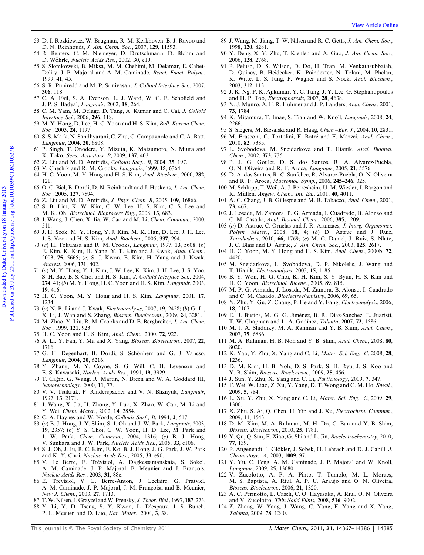- 53 D. I. Rozkiewicz, W. Brugman, R. M. Kerkhoven, B. J. Ravoo and D. N. Reinhoudt, *J. Am. Chem. Soc.*, 2007, 129, 11593.
- 54 R. Benters, C. M. Niemeyer, D. Drutschmann, D. Blohm and D. Wöhrle, Nucleic Acids Res., 2002, 30, e10.
- 55 S. Slomkowski, B. Miksa, M. M. Chehimi, M. Delamar, E. Cabet-Deliry, J. P. Majoral and A. M. Caminade, *React. Funct. Polym.*, 1999, 41, 45.
- 56 S. R. Puniredd and M. P. Srinivasan, *J. Colloid Interface Sci.*, 2007, 306, 118.
- 57 C. A. Fail, S. A. Evenson, L. J. Ward, W. C. E. Schofield and J. P. S. Badyal, *Langmuir*, 2002, 18, 264.
- 58 C. M. Yam, M. Deluge, D. Tang, A. Kumar and C. Cai, *J. Colloid Interface Sci.*, 2006, 296, 118.
- 59 M. Y. Hong, D. Lee, H. C. Yoon and H. S. Kim, *Bull. Korean Chem. Soc.*, 2003, 24, 1197.
- 60 S. S. Mark, N. Sandhyarani, C. Zhu, C. Campagnolo and C. A. Batt, *Langmuir*, 2004, 20, 6808.
- 61 P. Singh, T. Onodera, Y. Mizuta, K. Matsumoto, N. Miura and K. Toko, *Sens. Actuators, B*, 2009, 137, 403.
- 62 Z. Liu and M. D. Amiridis, *Colloids Surf., B*, 2004, 35, 197.
- 63 V. Chechik and R. M. Crooks, *Langmuir*, 1999, 15, 6364.
- 64 H. C. Yoon, M. Y. Hong and H. S. Kim, *Anal. Biochem.*, 2000, 282, 121.
- 65 O. C. Biel, B. Dordi, D. N. Reinhoudt and J. Huskens, *J. Am. Chem. Soc.*, 2005, 127, 7594.
- 66 Z. Liu and M. D. Amiridis, *J. Phys. Chem. B*, 2005, 109, 16866.
- 67 S. B. Lim, K. W. Kim, C. W. Lee, H. S. Kim, C. S. Lee and M. K. Oh, *Biotechnol. Bioprocess Eng.*, 2008, 13, 683.
- 68 J. Wang, J. Chen, X. Jia, W. Cao and M. Li, *Chem. Commun.*, 2000, 511.
- 69 J. H. Seok, M. Y. Hong, Y. J. Kim, M. K. Han, D. Lee, J. H. Lee, J. S. Yoo and H. S. Kim, *Anal. Biochem.*, 2005, 337, 294.
- 70 (*a*) H. Tokuhisa and R. M. Crooks, *Langmuir*, 1997, 13, 5608; (*b*) E. Kim, K. Kim, H. Yang, Y. T. Kim and J. Kwak, *Anal. Chem.*, 2003, 75, 5665; (*c*) S. J. Kwon, E. Kim, H. Yang and J. Kwak, *Analyst*, 2006, 131, 402.
- 71 (*a*) M. Y. Hong, Y. J. Kim, J. W. Lee, K. Kim, J. H. Lee, J. S. Yoo, S. H. Bae, B. S. Choi and H. S. Kim, *J. Colloid Interface Sci.*, 2004, 274, 41; (*b*) M. Y. Hong, H. C. Yoon and H. S. Kim, *Langmuir*, 2003, 19, 416.
- 72 H. C. Yoon, M. Y. Hong and H. S. Kim, *Langmuir*, 2001, 17, 1234.
- 73 (*a*) N. B. Li and J. Kwak, *Electroanalysis*, 2007, 19, 2428; (*b*) G. Li, X. Li, J. Wan and S. Zhang, *Biosens. Bioelectron.*, 2009, 24, 3281.
- 74 M. Zhao, Y. Liu, R. M. Crooks and D. E. Bergbreiter, *J. Am. Chem. Soc.*, 1999, 121, 923.
- 75 H. C. Yoon and H. S. Kim, *Anal. Chem.*, 2000, 72, 922.
- 76 A. Li, Y. Fan, Y. Ma and X. Yang, *Biosens. Bioelectron.*, 2007, 22, 1716.
- 77 G. H. Degenhart, B. Dordi, S. Schönherr and G. J. Vancso, *Langmuir*, 2004, 20, 6216.
- 78 Y. Zhang, M. Y. Coyne, S. G. Will, C. H. Levenson and E. S. Kawasaki, *Nucleic Acids Res.*, 1991, 19, 3929.
- 79 T. Çağın, G. Wang, R. Martin, N. Breen and W. A. Goddard III, *Nanotechnology*, 2000, 11, 77.
- 80 V. V. Tsukruk, F. Rinderspacher and V. N. Bliznyuk, *Langmuir*, 1997, 13, 2171.
- 81 J. Wang, X. Jia, H. Zhong, Y. Luo, X. Zhao, W. Cao, M. Li and Y. Wei, *Chem. Mater.*, 2002, 14, 2854.
- 82 C. A. Haynes and W. Norde, *Colloids Surf., B*, 1994, 2, 517.
- 83 (*a*) B. J. Hong, J. Y. Shim, S. J. Oh and J. W. Park, *Langmuir*, 2003, 19, 2357; (*b*) Y. S. Choi, C. W. Yoon, H. D. Lee, M. Park and J. W. Park, *Chem. Commun.*, 2004, 1316; (*c*) B. J. Hong, V. Sunkara and J. W. Park, *Nucleic Acids Res.*, 2005, 33, e106.
- 84 S. J. Oh, J. Ju, B. C. Kim, E. Ko, B. J. Hong, J. G. Park, J. W. Park and K. Y. Choi, *Nucleic Acids Res.*, 2005, 33, e90.
- 85 V. Le Berre, E. Trévisiol, A. Dagkessamanskaia, S. Sokol, A. M. Caminade, J. P. Majoral, B. Meunier and J. François, *Nucleic Acids Res.*, 2003, 31, 88e.
- 86 E. Trévisiol, V. L. Berre-Anton, J. Leclaire, G. Pratviel, A. M. Caminade, J. P. Majoral, J. M. Françoisa and B. Meunier, *New J. Chem.*, 2003, 27, 1713.
- 87 T.W. Nilsen, J.Grayzel andW. Prensky, *J. Theor. Biol.*, 1997, 187, 273.
- 88 Y. Li, Y. D. Tseng, S. Y. Kwon, L. D'espaux, J. S. Bunch, P. L. Mceuen and D. Luo, *Nat. Mater.*, 2004, 3, 38.
- 89 J. Wang, M. Jiang, T. W. Nilsen and R. C. Getts, *J. Am. Chem. Soc.*, 1998, 120, 8281.
- 90 Y. Deng, X. Y. Zhu, T. Kienlen and A. Guo, *J. Am. Chem. Soc.*, 2006, 128, 2768.
- 91 P. Peluso, D. S. Wilson, D. Do, H. Tran, M. Venkatasubbaiah, D. Quincy, B. Heidecker, K. Poindexter, N. Tolani, M. Phelan, K. Witte, L. S. Jung, P. Wagner and S. Nock, *Anal. Biochem.*, 2003, 312, 113.
- 92 J. K. Ng, P. K. Ajikumar, Y. C. Tang, J. Y. Lee, G. Stephanopoulos and H. P. Too, *Electrophoresis*, 2007, 28, 4638.
- 93 N. J. Munro, A. F. R. Huhmer and J. P. Landers, *Anal. Chem.*, 2001, 73, 1784.
- 94 K. Mitamura, T. Imae, S. Tian and W. Knoll, *Langmuir*, 2008, 24, 2266.
- 95 S. Siegers, M. Biesalski and R. Haag, *Chem.–Eur. J.*, 2004, 10, 2831.
- 96 M. Frasconi, C. Tortolini, F. Botré and F. Mazzei, Anal. Chem., 2010, 82, 7335.
- 97 L. Svobodova, M. Snejdarkova and T. Hianik, *Anal. Bioanal. Chem.*, 2002, 373, 735.
- 98 P. J. G. Goulet, D. S. dos Santos, R. A. Alvarez-Puebla, O. N. Oliveira and R. F. Aroca, *Langmuir*, 2005, 21, 5576.
- 99 D. A. dos Santos, R. C. Sanfelice, R. Alvarez-Puebla, O. N. Oliveira and R. F. Aroca, *Macromol. Symp.*, 2006, 245–246, 325.
- 100 M. Schlupp, T. Weil, A. J. Berresheim, U. M. Wiesler, J. Bargon and K. Müllen, Angew. Chem., Int. Ed., 2001, 40, 4011.
- 101 A. C. Chang, J. B. Gillespie and M. B. Tabacco, *Anal. Chem.*, 2001, 73, 467.
- 102 J. Losada, M. Zamora, P. G. Armada, I. Cuadrado, B. Alonso and C. M. Casado, *Anal. Bioanal. Chem.*, 2006, 385, 1209.
- 103 (*a*) D. Astruc, C. Ornelas and J. R. Aranzaes, *J. Inorg. Organomet. Polym. Mater.*, 2008, 18, 4; (*b*) D. Astruc and J. Ruiz, *Tetrahedron*, 2010, 66, 1769; (*c*) M. C. Daniel, J. Ruiz, S. Nlate, J. C. Blais and D. Astruc, *J. Am. Chem. Soc.*, 2003, 125, 2617.
- 104 H. C. Yoon, M. Y. Hong and H. S. Kim, *Anal. Chem.*, 2000b, 72, 4420.
- 105 M. Snejdarkova, L. Svobodova, D. P. Nikolelis, J. Wang and T. Hianik, *Electroanalysis*, 2003, 15, 1185.
- 106 B. Y. Won, H. G. Choi, K. H. Kim, S. Y. Byun, H. S. Kim and H. C. Yoon, *Biotechnol. Bioeng.*, 2005, 89, 815.
- 107 M. P. G. Armada, J. Losada, M. Zamora, B. Alonso, I. Cuadrado and C. M. Casado, *Bioelectrochemistry*, 2006, 69, 65.
- 108 N. Zhu, Y. Gu, Z. Chang, P. He and Y. Fang, *Electroanalysis*, 2006, 18, 2107.
- 109 E. B. Bustos, M. G. G. Jiménez, B. R. Díaz-Sánchez, E. Juaristi, T. W. Chapman and L. A. Godínez, *Talanta*, 2007, 72, 1586.
- 110 M. J. A. Shiddiky, M. A. Rahman and Y. B. Shim, *Anal. Chem.*, 2007, 79, 6886.
- 111 M. A. Rahman, H. B. Noh and Y. B. Shim, *Anal. Chem.*, 2008, 80, 8020.
- 112 K. Yao, Y. Zhu, X. Yang and C. Li, *Mater. Sci. Eng., C*, 2008, 28, 1236.
- 113 D. M. Kim, H. B. Noh, D. S. Park, S. H. Ryu, J. S. Koo and Y. B. Shim, *Biosens. Bioelectron.*, 2009, 25, 456.
- 114 J. Sun, Y. Zhu, X. Yang and C. Li, *Particuology*, 2009, 7, 347.
- 115 F. Wei, W. Liao, Z. Xu, Y. Yang, D. T. Wong and C. M. Ho, *Small.*, 2009, 5, 784.
- 116 L. Xu, Y. Zhu, X. Yang and C. Li, *Mater. Sci. Eng., C*, 2009, 29, 1306.
- 117 X. Zhu, S. Ai, Q. Chen, H. Yin and J. Xu, *Electrochem. Commun.*, 2009, 11, 1543.
- 118 D. M. Kim, M. A. Rahman, M. H. Do, C. Ban and Y. B. Shim, *Biosens. Bioelectron.*, 2010, 25, 1781.
- 119 Y. Qu, Q. Sun, F. Xiao, G. Shi and L. Jin, *Bioelectrochemistry*, 2010, 77, 139.
- 120 P. Angenendt, J. Glökler, J. Sobek, H. Lehrach and D. J. Cahill, J. *Chromatogr., A*, 2003, 1009, 97.
- 121 Y. Yu, C. Feng, A. M. Caminade, J. P. Majoral and W. Knoll, *Langmuir*, 2009, 25, 13680.
- 122 V. Zucolotto, A. P. A. Pinto, T. Tumolo, M. L. Moraes, M. S. Baptista, A. Riul, A. P. U. Araujo and O. N. Oliveira, *Biosens. Bioelectron.*, 2006, 21, 1320.
- 123 A. C. Perinotto, L. Caseli, C. O. Hayasaka, A. Riul, O. N. Oliveira and V. Zucolotto, *Thin Solid Films*, 2008, 516, 9002.
- 124 Z. Zhang, W. Yang, J. Wang, C. Yang, F. Yang and X. Yang, *Talanta*, 2009, 78, 1240.